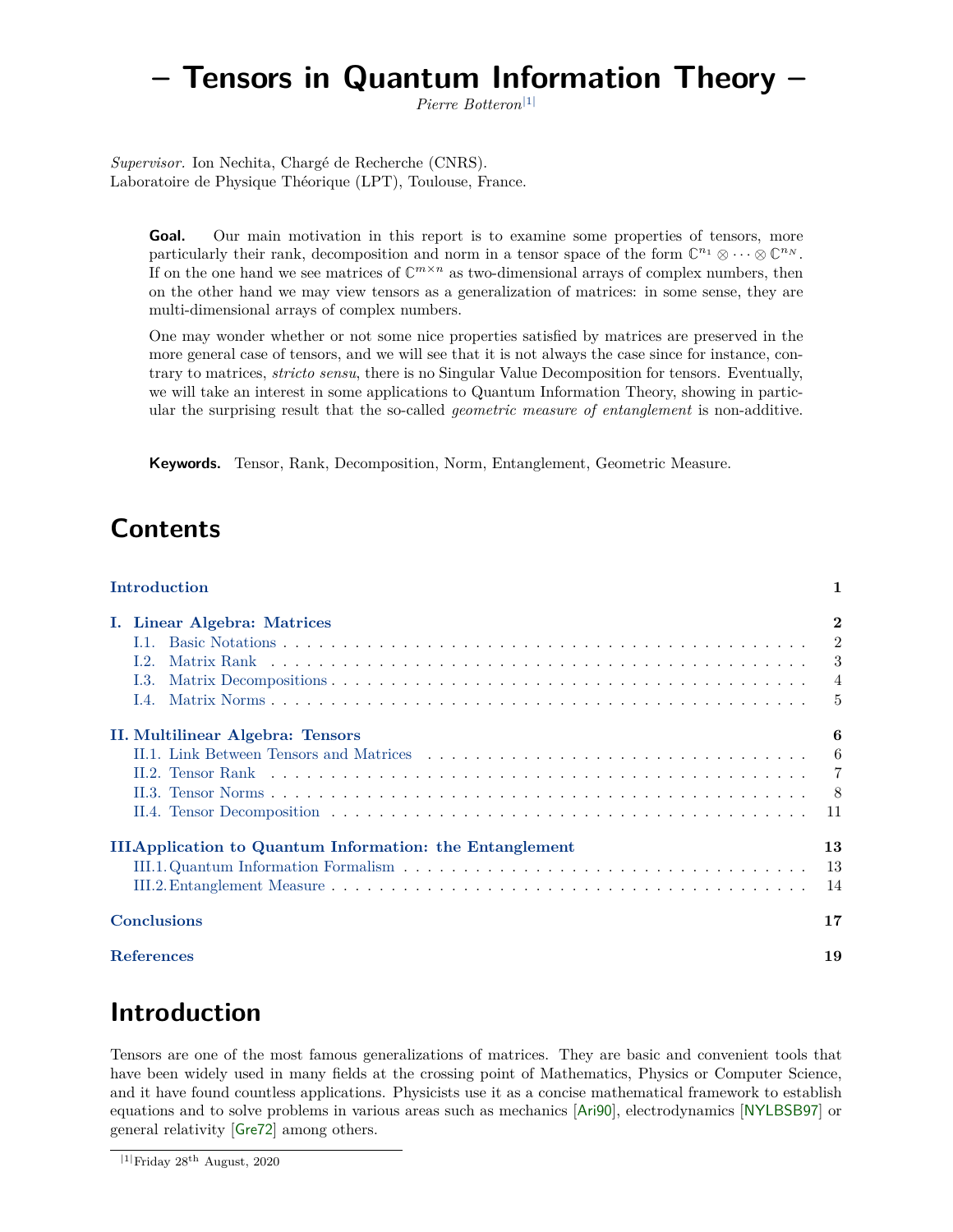# <span id="page-0-1"></span>**– Tensors in Quantum Information Theory –**

*Pierre Botteron*|[1](#page-0-0)<sup>|</sup>

*Supervisor.* Ion Nechita, Chargé de Recherche (CNRS). Laboratoire de Physique Théorique (LPT), Toulouse, France.

Goal. Our main motivation in this report is to examine some properties of tensors, more particularly their rank, decomposition and norm in a tensor space of the form  $\mathbb{C}^{n_1} \otimes \cdots \otimes \mathbb{C}^{n_N}$ . If on the one hand we see matrices of  $\mathbb{C}^{m \times n}$  as two-dimensional arrays of complex numbers, then on the other hand we may view tensors as a generalization of matrices: in some sense, they are multi-dimensional arrays of complex numbers.

One may wonder whether or not some nice properties satisfied by matrices are preserved in the more general case of tensors, and we will see that it is not always the case since for instance, contrary to matrices, *stricto sensu*, there is no Singular Value Decomposition for tensors. Eventually, we will take an interest in some applications to Quantum Information Theory, showing in particular the surprising result that the so-called *geometric measure of entanglement* is non-additive.

**Keywords.** Tensor, Rank, Decomposition, Norm, Entanglement, Geometric Measure.

# **Contents**

| Introduction                                                   | 1              |
|----------------------------------------------------------------|----------------|
| I. Linear Algebra: Matrices                                    | $\overline{2}$ |
| 1.1.                                                           | $\overline{2}$ |
| L.2.                                                           | 3              |
| L3.                                                            | $\overline{4}$ |
| $\overline{1.4}$ .                                             | 5              |
| II. Multilinear Algebra: Tensors                               | 6              |
|                                                                | -6             |
|                                                                | -7             |
|                                                                | - 8            |
|                                                                |                |
| <b>IIIApplication to Quantum Information: the Entanglement</b> | 13             |
|                                                                | -13            |
|                                                                | -14            |
| <b>Conclusions</b>                                             | 17             |
| <b>References</b>                                              |                |

# **Introduction**

Tensors are one of the most famous generalizations of matrices. They are basic and convenient tools that have been widely used in many fields at the crossing point of Mathematics, Physics or Computer Science, and it have found countless applications. Physicists use it as a concise mathematical framework to establish equations and to solve problems in various areas such as mechanics [[Ari90](#page-17-0)], electrodynamics [[NYLBSB97](#page-18-0)] or general relativity [[Gre72](#page-17-1)] among others.

<span id="page-0-0"></span> $|1|$ Friday 28<sup>th</sup> August, 2020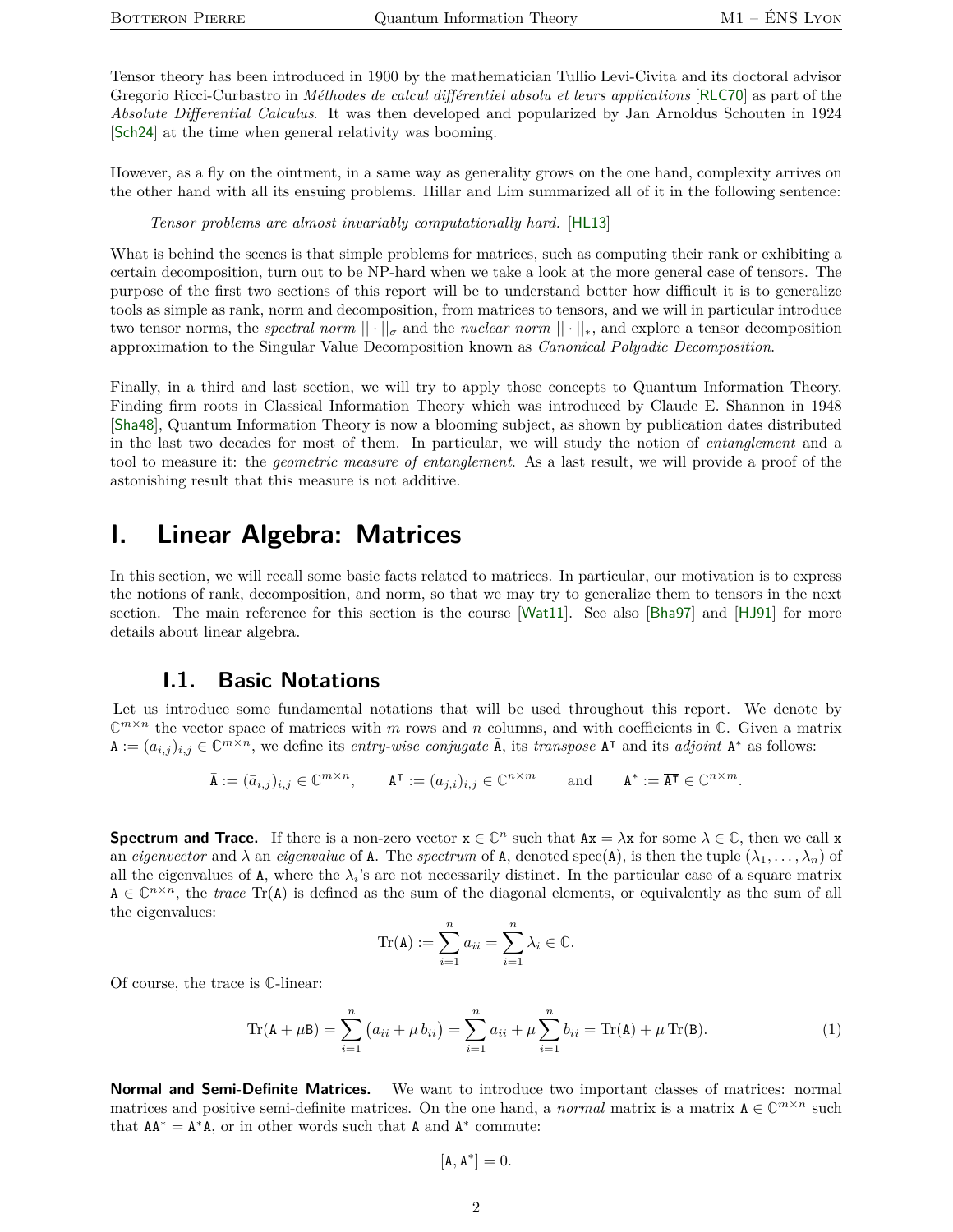Tensor theory has been introduced in 1900 by the mathematician Tullio Levi-Civita and its doctoral advisor Gregorio Ricci-Curbastro in *Méthodes de calcul différentiel absolu et leurs applications* [[RLC70](#page-18-1)] as part of the *Absolute Differential Calculus*. It was then developed and popularized by Jan Arnoldus Schouten in 1924 [[Sch24](#page-18-2)] at the time when general relativity was booming.

However, as a fly on the ointment, in a same way as generality grows on the one hand, complexity arrives on the other hand with all its ensuing problems. Hillar and Lim summarized all of it in the following sentence:

*Tensor problems are almost invariably computationally hard.* [[HL13](#page-17-2)]

What is behind the scenes is that simple problems for matrices, such as computing their rank or exhibiting a certain decomposition, turn out to be NP-hard when we take a look at the more general case of tensors. The purpose of the first two sections of this report will be to understand better how difficult it is to generalize tools as simple as rank, norm and decomposition, from matrices to tensors, and we will in particular introduce two tensor norms, the *spectral norm*  $|| \cdot ||_{\sigma}$  and the *nuclear norm*  $|| \cdot ||_{*}$ , and explore a tensor decomposition approximation to the Singular Value Decomposition known as *Canonical Polyadic Decomposition*.

Finally, in a third and last section, we will try to apply those concepts to Quantum Information Theory. Finding firm roots in Classical Information Theory which was introduced by Claude E. Shannon in 1948 [[Sha48](#page-18-3)], Quantum Information Theory is now a blooming subject, as shown by publication dates distributed in the last two decades for most of them. In particular, we will study the notion of *entanglement* and a tool to measure it: the *geometric measure of entanglement*. As a last result, we will provide a proof of the astonishing result that this measure is not additive.

## <span id="page-1-0"></span>**I. Linear Algebra: Matrices**

In this section, we will recall some basic facts related to matrices. In particular, our motivation is to express the notions of rank, decomposition, and norm, so that we may try to generalize them to tensors in the next section. The main reference for this section is the course [[Wat11](#page-18-4)]. See also [[Bha97](#page-17-3)] and [[HJ91](#page-17-4)] for more details about linear algebra.

#### **I.1. Basic Notations**

<span id="page-1-1"></span>Let us introduce some fundamental notations that will be used throughout this report. We denote by  $\mathbb{C}^{m \times n}$  the vector space of matrices with *m* rows and *n* columns, and with coefficients in  $\mathbb{C}$ . Given a matrix  $A := (a_{i,j})_{i,j} \in \mathbb{C}^{m \times n}$ , we define its *entry-wise conjugate*  $\overline{A}$ , its *transpose*  $A^{\intercal}$  and its *adjoint*  $A^*$  as follows:

$$
\bar{\mathbf{A}} := (\bar{a}_{i,j})_{i,j} \in \mathbb{C}^{m \times n}, \qquad \mathbf{A}^{\mathsf{T}} := (a_{j,i})_{i,j} \in \mathbb{C}^{n \times m} \qquad \text{and} \qquad \mathbf{A}^* := \overline{\mathbf{A}^{\mathsf{T}}} \in \mathbb{C}^{n \times m}.
$$

**Spectrum and Trace.** If there is a non-zero vector  $x \in \mathbb{C}^n$  such that  $Ax = \lambda x$  for some  $\lambda \in \mathbb{C}$ , then we call x an *eigenvector* and  $\lambda$  an *eigenvalue* of A. The *spectrum* of A, denoted spec(A), is then the tuple  $(\lambda_1, \ldots, \lambda_n)$  of all the eigenvalues of  $A$ , where the  $\lambda_i$ 's are not necessarily distinct. In the particular case of a square matrix  $A \in \mathbb{C}^{n \times n}$ , the *trace* Tr(A) is defined as the sum of the diagonal elements, or equivalently as the sum of all the eigenvalues:

$$
\mathrm{Tr}(\mathbf{A}) := \sum_{i=1}^{n} a_{ii} = \sum_{i=1}^{n} \lambda_i \in \mathbb{C}.
$$

Of course, the trace is **C**-linear:

<span id="page-1-2"></span>
$$
\operatorname{Tr}(\mathbf{A} + \mu \mathbf{B}) = \sum_{i=1}^{n} (a_{ii} + \mu b_{ii}) = \sum_{i=1}^{n} a_{ii} + \mu \sum_{i=1}^{n} b_{ii} = \operatorname{Tr}(\mathbf{A}) + \mu \operatorname{Tr}(\mathbf{B}).
$$
\n(1)

**Normal and Semi-Definite Matrices.** We want to introduce two important classes of matrices: normal matrices and positive semi-definite matrices. On the one hand, a *normal* matrix is a matrix  $A \in \mathbb{C}^{m \times n}$  such that  $AA^* = A^*A$ , or in other words such that A and  $A^*$  commute:

$$
[\mathbf{A}, \mathbf{A}^*] = 0.
$$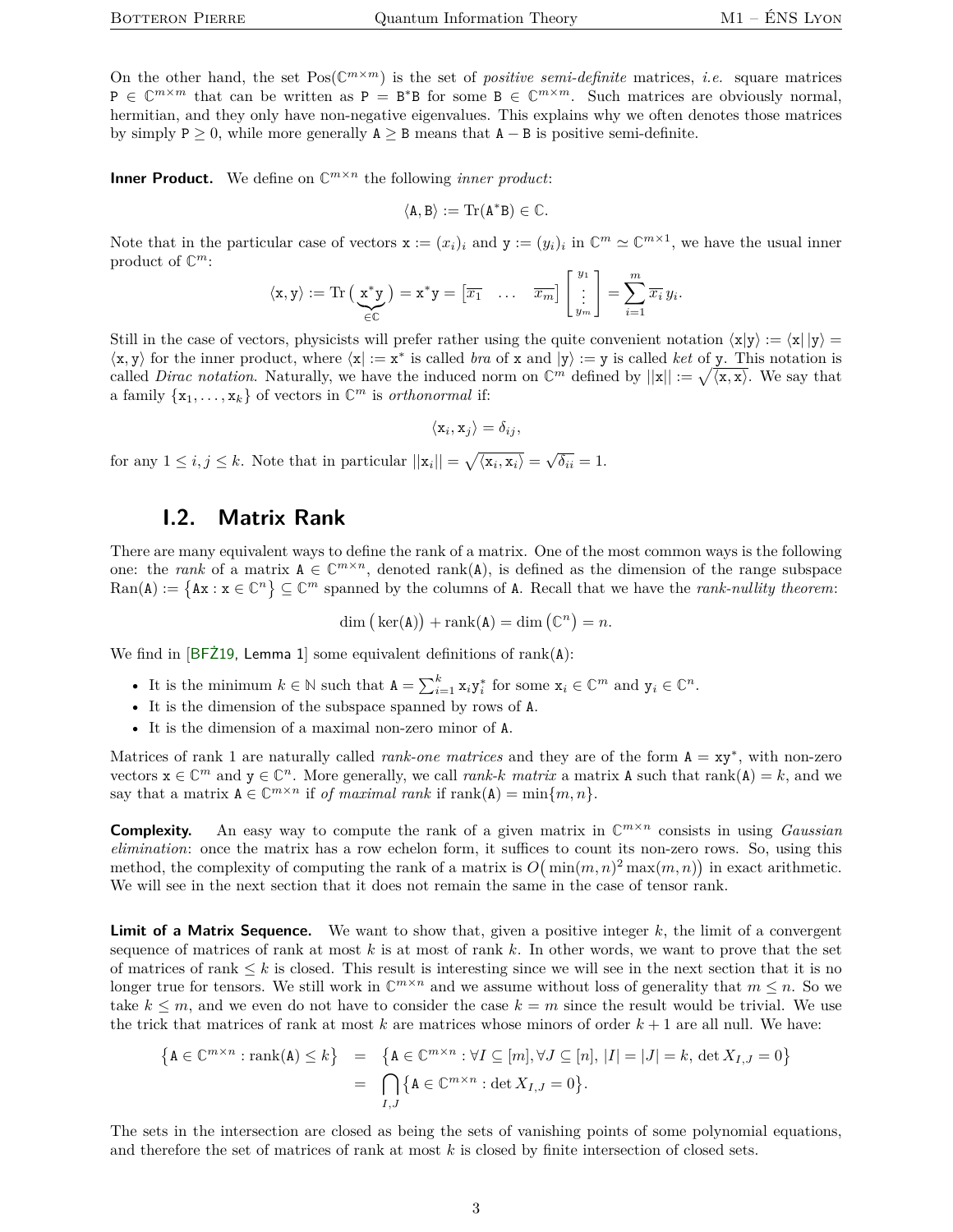On the other hand, the set  $Pos(\mathbb{C}^{m\times m})$  is the set of *positive semi-definite* matrices, *i.e.* square matrices  $P \in \mathbb{C}^{m \times m}$  that can be written as  $P = B^*B$  for some  $B \in \mathbb{C}^{m \times m}$ . Such matrices are obviously normal, hermitian, and they only have non-negative eigenvalues. This explains why we often denotes those matrices by simply  $P \ge 0$ , while more generally  $A \ge B$  means that  $A - B$  is positive semi-definite.

**Inner Product.** We define on  $\mathbb{C}^{m \times n}$  the following *inner product*:

$$
\langle A, B \rangle := \mathrm{Tr}(A^*B) \in \mathbb{C}.
$$

Note that in the particular case of vectors  $\mathbf{x} := (x_i)_i$  and  $\mathbf{y} := (y_i)_i$  in  $\mathbb{C}^m \simeq \mathbb{C}^{m \times 1}$ , we have the usual inner product of **C** *m*:

$$
\langle \mathbf{x}, \mathbf{y} \rangle := \text{Tr}\left(\underbrace{\mathbf{x}^* \mathbf{y}}_{\in \mathbb{C}}\right) = \mathbf{x}^* \mathbf{y} = \begin{bmatrix} \overline{x_1} & \dots & \overline{x_m} \end{bmatrix} \begin{bmatrix} y_1 \\ \vdots \\ y_m \end{bmatrix} = \sum_{i=1}^m \overline{x_i} y_i.
$$

Still in the case of vectors, physicists will prefer rather using the quite convenient notation  $\langle x|y \rangle := \langle x| |y \rangle =$  $\langle x, y \rangle$  for the inner product, where  $\langle x | := x^*$  is called *bra* of x and  $|y\rangle := y$  is called *ket* of y. This notation is called *Dirac notation*. Naturally, we have the induced norm on  $\mathbb{C}^m$  defined by  $||\mathbf{x}|| := \sqrt{\langle \mathbf{x}, \mathbf{x} \rangle}$ . We say that a family  $\{x_1, \ldots, x_k\}$  of vectors in  $\mathbb{C}^m$  is *orthonormal* if:

$$
\langle \mathbf{x}_i, \mathbf{x}_j \rangle = \delta_{ij},
$$

for any  $1 \leq i, j \leq k$ . Note that in particular  $||\mathbf{x}_i|| = \sqrt{\langle \mathbf{x}_i, \mathbf{x}_i \rangle} = \sqrt{\delta_{ii}} = 1$ .

#### **I.2. Matrix Rank**

<span id="page-2-0"></span>There are many equivalent ways to define the rank of a matrix. One of the most common ways is the following one: the *rank* of a matrix  $A \in \mathbb{C}^{m \times n}$ , denoted rank(A), is defined as the dimension of the range subspace  $\text{Ran}(\mathbf{A}) := \{ \mathbf{A}\mathbf{x} : \mathbf{x} \in \mathbb{C}^n \} \subseteq \mathbb{C}^m$  spanned by the columns of A. Recall that we have the *rank-nullity theorem*:

$$
\dim (\ker(\mathbf{A})) + \operatorname{rank}(\mathbf{A}) = \dim (\mathbb{C}^n) = n.
$$

We find in  $[BF\ddot{Z}19,$  Lemma 1 some equivalent definitions of rank $(A)$ :

- It is the minimum  $k \in \mathbb{N}$  such that  $A = \sum_{i=1}^{k} x_i y_i^*$  for some  $x_i \in \mathbb{C}^m$  and  $y_i \in \mathbb{C}^n$ .
- It is the dimension of the subspace spanned by rows of A.
- It is the dimension of a maximal non-zero minor of A.

Matrices of rank 1 are naturally called *rank-one matrices* and they are of the form A = xy<sup>∗</sup> , with non-zero vectors  $x \in \mathbb{C}^m$  and  $y \in \mathbb{C}^n$ . More generally, we call *rank-k matrix* a matrix **A** such that rank(**A**) = *k*, and we say that a matrix  $A \in \mathbb{C}^{m \times n}$  if *of maximal rank* if  $\text{rank}(A) = \min\{m, n\}.$ 

**Complexity.** An easy way to compute the rank of a given matrix in  $\mathbb{C}^{m \times n}$  consists in using *Gaussian elimination*: once the matrix has a row echelon form, it suffices to count its non-zero rows. So, using this method, the complexity of computing the rank of a matrix is  $O(min(m,n)^2 \max(m,n))$  in exact arithmetic. We will see in the next section that it does not remain the same in the case of tensor rank.

**Limit of a Matrix Sequence.** We want to show that, given a positive integer k, the limit of a convergent sequence of matrices of rank at most *k* is at most of rank *k*. In other words, we want to prove that the set of matrices of rank  $\leq k$  is closed. This result is interesting since we will see in the next section that it is no longer true for tensors. We still work in  $\mathbb{C}^{m \times n}$  and we assume without loss of generality that  $m \leq n$ . So we take  $k \leq m$ , and we even do not have to consider the case  $k = m$  since the result would be trivial. We use the trick that matrices of rank at most *k* are matrices whose minors of order *k* + 1 are all null. We have:

$$
\begin{aligned}\n\left\{\mathbf{A} \in \mathbb{C}^{m \times n} : \text{rank}(\mathbf{A}) \leq k\right\} &= \left\{\mathbf{A} \in \mathbb{C}^{m \times n} : \forall I \subseteq [m], \forall J \subseteq [n], \, |I| = |J| = k, \, \det X_{I,J} = 0\right\} \\
&= \bigcap_{I,J} \left\{\mathbf{A} \in \mathbb{C}^{m \times n} : \det X_{I,J} = 0\right\}.\n\end{aligned}
$$

The sets in the intersection are closed as being the sets of vanishing points of some polynomial equations, and therefore the set of matrices of rank at most *k* is closed by finite intersection of closed sets.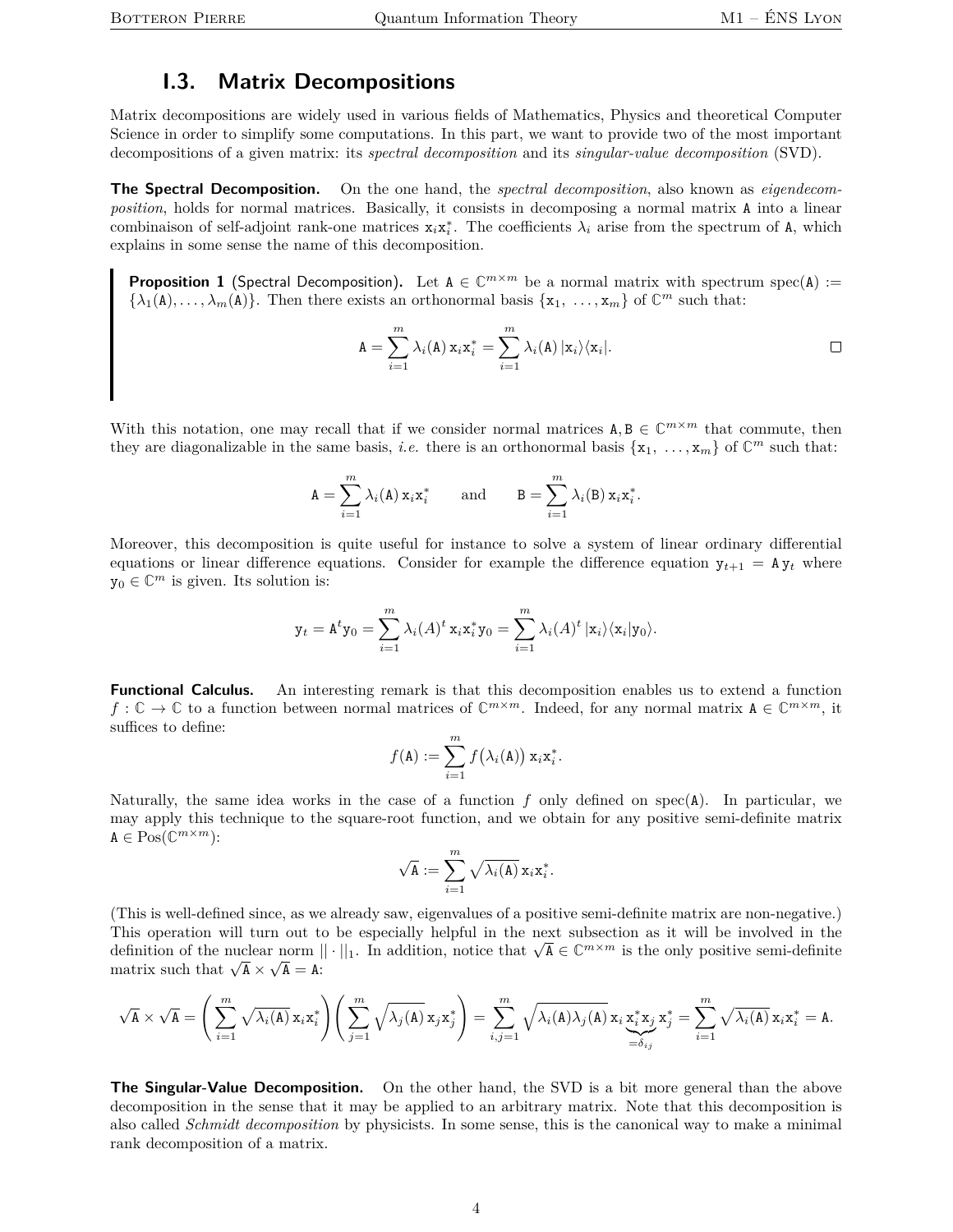## **I.3. Matrix Decompositions**

<span id="page-3-0"></span>Matrix decompositions are widely used in various fields of Mathematics, Physics and theoretical Computer Science in order to simplify some computations. In this part, we want to provide two of the most important decompositions of a given matrix: its *spectral decomposition* and its *singular-value decomposition* (SVD).

**The Spectral Decomposition.** On the one hand, the *spectral decomposition*, also known as *eigendecomposition*, holds for normal matrices. Basically, it consists in decomposing a normal matrix A into a linear combinaison of self-adjoint rank-one matrices  $x_i x_i^*$ . The coefficients  $\lambda_i$  arise from the spectrum of A, which explains in some sense the name of this decomposition.

<span id="page-3-2"></span>**Proposition 1** (Spectral Decomposition). Let  $A \in \mathbb{C}^{m \times m}$  be a normal matrix with spectrum spec(A) :=  $\{\lambda_1(\mathbf{A}), \ldots, \lambda_m(\mathbf{A})\}$ . Then there exists an orthonormal basis  $\{\mathbf{x}_1, \ldots, \mathbf{x}_m\}$  of  $\mathbb{C}^m$  such that:

<span id="page-3-1"></span>
$$
A = \sum_{i=1}^{m} \lambda_i(A) x_i x_i^* = \sum_{i=1}^{m} \lambda_i(A) |x_i\rangle\langle x_i|.
$$

With this notation, one may recall that if we consider normal matrices  $A, B \in \mathbb{C}^{m \times m}$  that commute, then they are diagonalizable in the same basis, *i.e.* there is an orthonormal basis  $\{x_1, \ldots, x_m\}$  of  $\mathbb{C}^m$  such that:

$$
\mathbf{A} = \sum_{i=1}^{m} \lambda_i(\mathbf{A}) \mathbf{x}_i \mathbf{x}_i^* \quad \text{and} \quad \mathbf{B} = \sum_{i=1}^{m} \lambda_i(\mathbf{B}) \mathbf{x}_i \mathbf{x}_i^*.
$$

Moreover, this decomposition is quite useful for instance to solve a system of linear ordinary differential equations or linear difference equations. Consider for example the difference equation  $y_{t+1} = Ay_t$  where  $y_0 \in \mathbb{C}^m$  is given. Its solution is:

$$
\mathbf{y}_t = \mathbf{A}^t \mathbf{y}_0 = \sum_{i=1}^m \lambda_i (A)^t \mathbf{x}_i \mathbf{x}_i^* \mathbf{y}_0 = \sum_{i=1}^m \lambda_i (A)^t |\mathbf{x}_i\rangle \langle \mathbf{x}_i |\mathbf{y}_0\rangle.
$$

**Functional Calculus.** An interesting remark is that this decomposition enables us to extend a function  $f: \mathbb{C} \to \mathbb{C}$  to a function between normal matrices of  $\mathbb{C}^{m \times m}$ . Indeed, for any normal matrix  $A \in \mathbb{C}^{m \times m}$ , it suffices to define:

$$
f(\mathbf{A}) := \sum_{i=1}^m f(\lambda_i(\mathbf{A})) \mathbf{x}_i \mathbf{x}_i^*.
$$

Naturally, the same idea works in the case of a function *f* only defined on spec(A). In particular, we may apply this technique to the square-root function, and we obtain for any positive semi-definite matrix  $A \in \mathrm{Pos}(\mathbb{C}^{m \times m})$ :

$$
\sqrt{\mathbf{A}} := \sum_{i=1}^m \sqrt{\lambda_i(\mathbf{A})} \, \mathbf{x}_i \mathbf{x}_i^*.
$$

(This is well-defined since, as we already saw, eigenvalues of a positive semi-definite matrix are non-negative.) This operation will turn out to be especially helpful in the next subsection as it will be involved in the This operation will turn out to be especially helpful in the next subsection as it will be involved in the definition of the nuclear norm  $\|\cdot\|_1$ . In addition, notice that  $\sqrt{A} \in \mathbb{C}^{m \times m}$  is the only positive semi definition of the nuclear norm  $\vert$ <br>matrix such that  $\sqrt{A} \times \sqrt{A} = A$ :

$$
\sqrt{A} \times \sqrt{A} = \left(\sum_{i=1}^m \sqrt{\lambda_i(A)} x_i x_i^* \right) \left(\sum_{j=1}^m \sqrt{\lambda_j(A)} x_j x_j^* \right) = \sum_{i,j=1}^m \sqrt{\lambda_i(A)} \lambda_j(A) x_i x_i^* x_j x_j^* = \sum_{i=1}^m \sqrt{\lambda_i(A)} x_i x_i^* = A.
$$

**The Singular-Value Decomposition.** On the other hand, the SVD is a bit more general than the above decomposition in the sense that it may be applied to an arbitrary matrix. Note that this decomposition is also called *Schmidt decomposition* by physicists. In some sense, this is the canonical way to make a minimal rank decomposition of a matrix.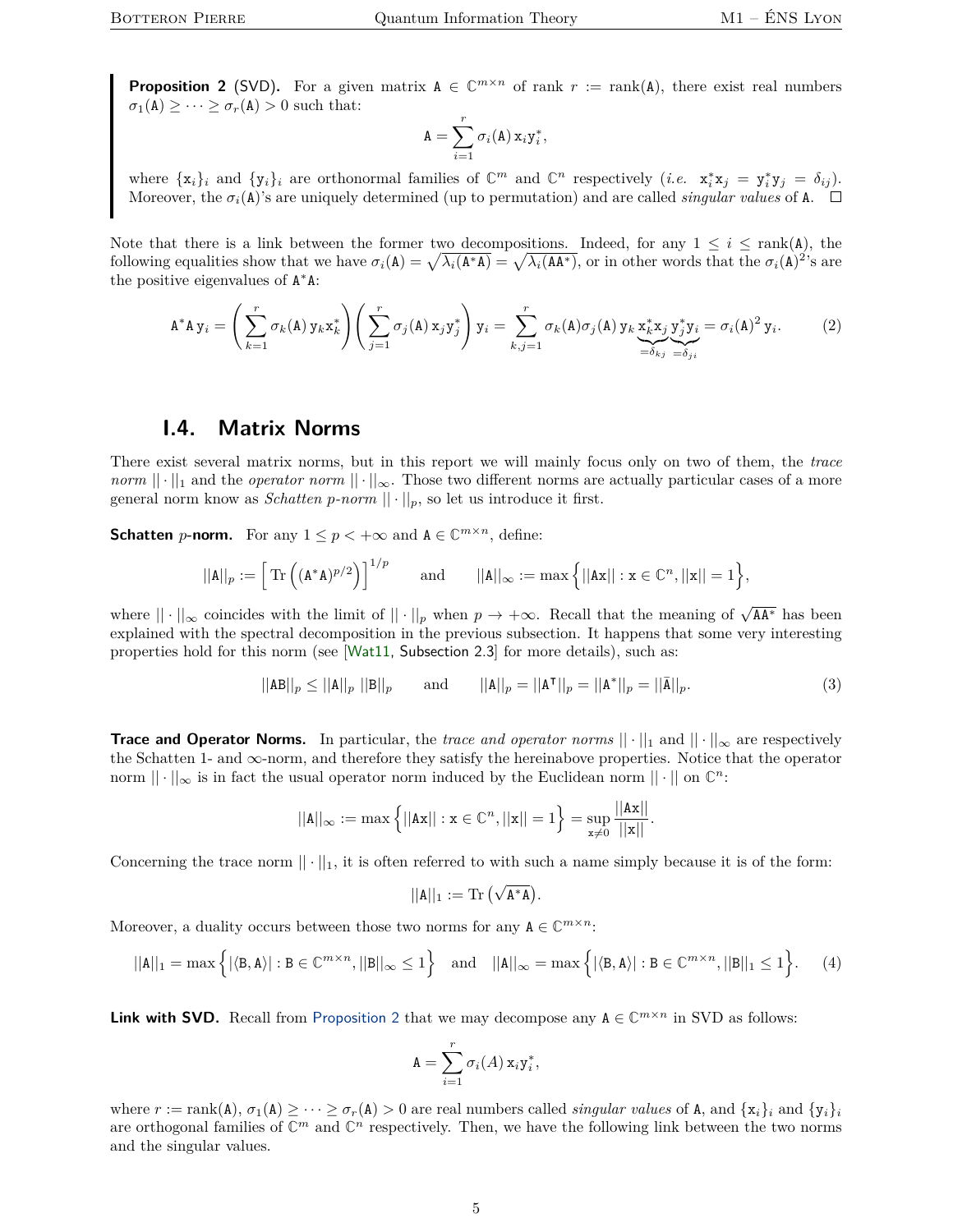<span id="page-4-1"></span>**Proposition 2** (SVD). For a given matrix  $A \in \mathbb{C}^{m \times n}$  of rank  $r := \text{rank}(A)$ , there exist real numbers  $\sigma_1(A) \geq \cdots \geq \sigma_r(A) > 0$  such that:

$$
A = \sum_{i=1}^r \sigma_i(A) x_i y_i^*,
$$

where  $\{x_i\}_i$  and  $\{y_i\}_i$  are orthonormal families of  $\mathbb{C}^m$  and  $\mathbb{C}^n$  respectively (*i.e.*  $x_i^*x_j = y_i^*y_j = \delta_{ij}$ ). Moreover, the  $\sigma_i(A)$ 's are uniquely determined (up to permutation) and are called *singular values* of A.  $\Box$ 

Note that there is a link between the former two decompositions. Indeed, for any  $1 \leq i \leq \text{rank}(\mathbf{A})$ , the following equalities show that we have  $\sigma_i(\mathbf{A}) = \sqrt{\lambda_i(\mathbf{A}^* \mathbf{A})} = \sqrt{\lambda_i(\mathbf{A} \mathbf{A}^*)}$ , or in other words that the  $\sigma_i(\mathbf{A})^2$ 's are the positive eigenvalues of A <sup>∗</sup>A:

$$
\mathbf{A}^* \mathbf{A} \mathbf{y}_i = \left(\sum_{k=1}^r \sigma_k(\mathbf{A}) \mathbf{y}_k \mathbf{x}_k^*\right) \left(\sum_{j=1}^r \sigma_j(\mathbf{A}) \mathbf{x}_j \mathbf{y}_j^*\right) \mathbf{y}_i = \sum_{k,j=1}^r \sigma_k(\mathbf{A}) \sigma_j(\mathbf{A}) \mathbf{y}_k \underbrace{\mathbf{x}_k^* \mathbf{x}_j}_{=\delta_{kj}} \underbrace{\mathbf{y}_j^* \mathbf{y}_i}_{=\delta_{ji}} = \sigma_i(\mathbf{A})^2 \mathbf{y}_i. \tag{2}
$$

#### **I.4. Matrix Norms**

<span id="page-4-0"></span>There exist several matrix norms, but in this report we will mainly focus only on two of them, the *trace norm*  $|| \cdot ||_1$  and the *operator norm*  $|| \cdot ||_{\infty}$ . Those two different norms are actually particular cases of a more general norm know as *Schatten*  $p$ *-norm*  $|| \cdot ||_p$ , so let us introduce it first.

**Schatten** *p*-norm. For any  $1 \leq p < +\infty$  and  $A \in \mathbb{C}^{m \times n}$ , define:

$$
||A||_p := \Big[ \operatorname{Tr} \Big( (A^* A)^{p/2} \Big) \Big]^{1/p} \qquad \text{and} \qquad ||A||_\infty := \max \Big\{ ||Ax|| : x \in \mathbb{C}^n, ||x|| = 1 \Big\},
$$

where  $|| \cdot ||_{\infty}$  coincides with the limit of  $|| \cdot ||_{p}$  when  $p \to +\infty$ . Recall that the meaning of  $\sqrt{AA^*}$  has been explained with the spectral decomposition in the previous subsection. It happens that some very interesting properties hold for this norm (see [[Wat11,](#page-18-4) Subsection 2.3] for more details), such as:

<span id="page-4-2"></span>
$$
||AB||_p \le ||A||_p ||B||_p \quad \text{and} \quad ||A||_p = ||A^{\mathsf{T}}||_p = ||A^*||_p = ||\bar{A}||_p. \tag{3}
$$

**Trace and Operator Norms.** In particular, the *trace and operator norms*  $|| \cdot ||_1$  and  $|| \cdot ||_{\infty}$  are respectively the Schatten 1- and ∞-norm, and therefore they satisfy the hereinabove properties. Notice that the operator norm  $\|\cdot\|_{\infty}$  is in fact the usual operator norm induced by the Euclidean norm  $\|\cdot\|$  on  $\mathbb{C}^n$ :

$$
||A||_{\infty} := \max \left\{ ||Ax|| : x \in \mathbb{C}^n, ||x|| = 1 \right\} = \sup_{x \neq 0} \frac{||Ax||}{||x||}.
$$

Concerning the trace norm  $|| \cdot ||_1$ , it is often referred to with such a name simply because it is of the form:

$$
||A||_1 := \mathrm{Tr}\left(\sqrt{A^*A}\right).
$$

Moreover, a duality occurs between those two norms for any  $A \in \mathbb{C}^{m \times n}$ :

<span id="page-4-3"></span>
$$
||A||_1 = \max\left\{ |\langle B, A \rangle| : B \in \mathbb{C}^{m \times n}, ||B||_{\infty} \le 1 \right\} \text{ and } ||A||_{\infty} = \max\left\{ |\langle B, A \rangle| : B \in \mathbb{C}^{m \times n}, ||B||_1 \le 1 \right\}.
$$
 (4)

**Link with SVD.** Recall from [Proposition](#page-4-1) [2](#page-4-1) that we may decompose any  $A \in \mathbb{C}^{m \times n}$  in SVD as follows:

$$
\mathbf{A} = \sum_{i=1}^r \sigma_i(A) \mathbf{x}_i \mathbf{y}_i^*,
$$

where  $r := \text{rank}(A), \sigma_1(A) \geq \cdots \geq \sigma_r(A) > 0$  are real numbers called *singular values* of A, and  $\{x_i\}_i$  and  $\{y_i\}_i$ are orthogonal families of  $\mathbb{C}^m$  and  $\mathbb{C}^n$  respectively. Then, we have the following link between the two norms and the singular values.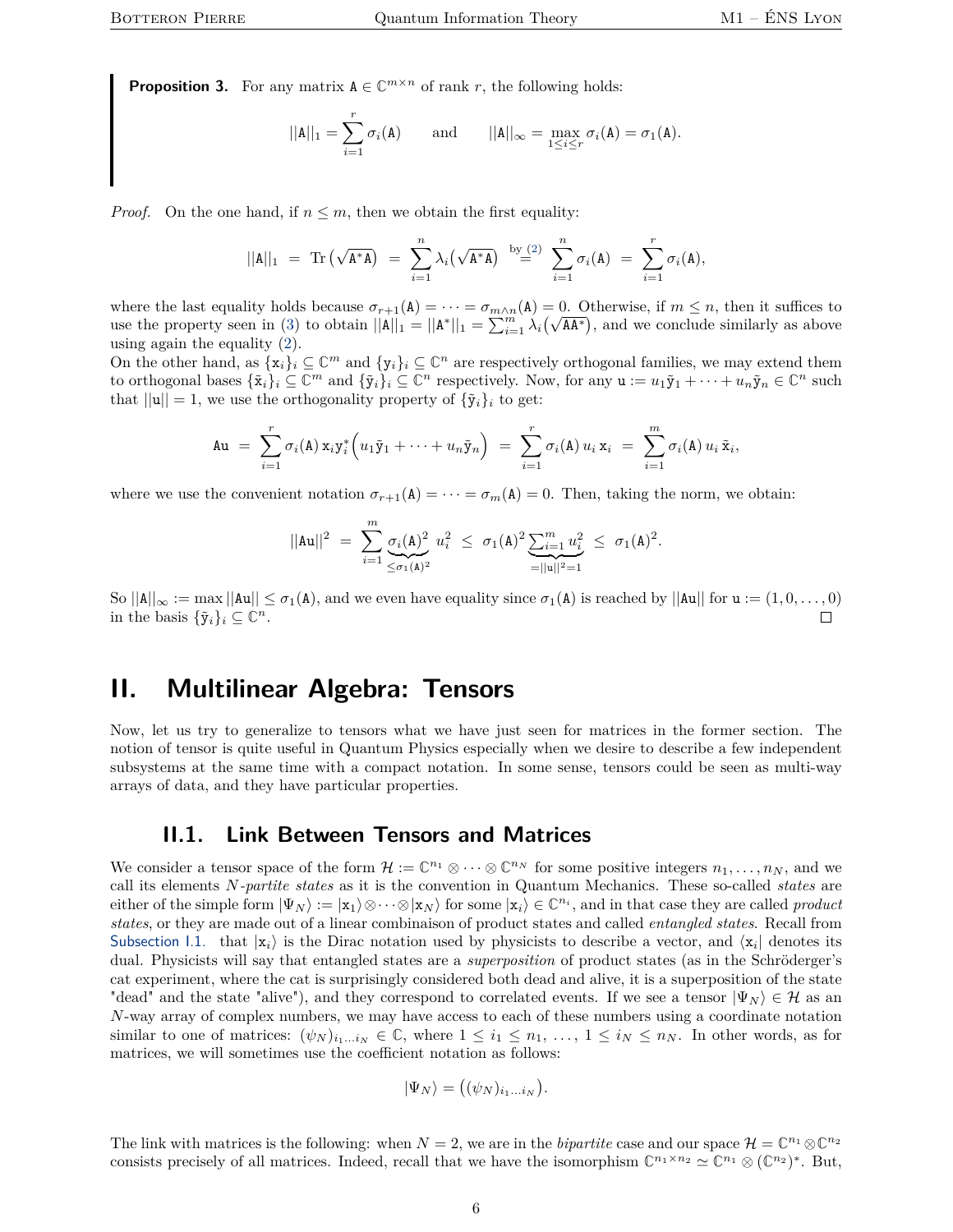<span id="page-5-2"></span>**Proposition 3.** For any matrix  $A \in \mathbb{C}^{m \times n}$  of rank *r*, the following holds:

$$
||\mathbf{A}||_1 = \sum_{i=1}^r \sigma_i(\mathbf{A})
$$
 and  $||\mathbf{A}||_{\infty} = \max_{1 \le i \le r} \sigma_i(\mathbf{A}) = \sigma_1(\mathbf{A}).$ 

*Proof.* On the one hand, if  $n \leq m$ , then we obtain the first equality:

$$
||A||_1 = \text{Tr}(\sqrt{A^*A}) = \sum_{i=1}^n \lambda_i (\sqrt{A^*A}) \stackrel{\text{by (2)}}{=} \sum_{i=1}^n \sigma_i(A) = \sum_{i=1}^r \sigma_i(A),
$$

where the last equality holds because  $\sigma_{r+1}(\mathbf{A}) = \cdots = \sigma_{m \wedge n}(\mathbf{A}) = 0$ . Otherwise, if  $m \leq n$ , then it suffices to where the last equality holds because  $\sigma_{r+1}(\mathbf{A}) = \cdots = \sigma_{m \wedge n}(\mathbf{A}) = 0$ . Otherwise, if  $m \leq n$ , then it sumces to use the property seen in [\(3\)](#page-4-2) to obtain  $||\mathbf{A}||_1 = ||\mathbf{A}^*||_1 = \sum_{i=1}^m \lambda_i (\sqrt{A\mathbf{A}^*})$ , and we con using again the equality [\(2\)](#page-3-1).

On the other hand, as  $\{x_i\}_i \subseteq \mathbb{C}^m$  and  $\{y_i\}_i \subseteq \mathbb{C}^n$  are respectively orthogonal families, we may extend them to orthogonal bases  $\{\tilde{\mathbf{x}}_i\}_i \subseteq \mathbb{C}^m$  and  $\{\tilde{\mathbf{y}}_i\}_i \subseteq \mathbb{C}^n$  respectively. Now, for any  $\mathbf{u} := u_1 \tilde{\mathbf{y}}_1 + \cdots + u_n \tilde{\mathbf{y}}_n \in \mathbb{C}^n$  such that  $||\mathbf{u}|| = 1$ , we use the orthogonality property of  ${\tilde{\mathbf{y}}_i}_i$  to get:

$$
\mathbf{A}\mathbf{u} = \sum_{i=1}^r \sigma_i(\mathbf{A}) \mathbf{x}_i \mathbf{y}_i^* \left( u_1 \tilde{\mathbf{y}}_1 + \cdots + u_n \tilde{\mathbf{y}}_n \right) = \sum_{i=1}^r \sigma_i(\mathbf{A}) u_i \mathbf{x}_i = \sum_{i=1}^m \sigma_i(\mathbf{A}) u_i \tilde{\mathbf{x}}_i,
$$

where we use the convenient notation  $\sigma_{r+1}(\mathbf{A}) = \cdots = \sigma_m(\mathbf{A}) = 0$ . Then, taking the norm, we obtain:

$$
||\mathbf{A} \mathbf{u}||^2 = \sum_{i=1}^m \underbrace{\sigma_i(\mathbf{A})^2}_{\leq \sigma_1(\mathbf{A})^2} u_i^2 \leq \sigma_1(\mathbf{A})^2 \underbrace{\sum_{i=1}^m u_i^2}_{=||\mathbf{u}||^2=1} \leq \sigma_1(\mathbf{A})^2.
$$

So  $||A||_{\infty} := \max ||Au|| \leq \sigma_1(A)$ , and we even have equality since  $\sigma_1(A)$  is reached by  $||Au||$  for  $u := (1, 0, \ldots, 0)$ in the basis  $\{\tilde{\mathbf{y}}_i\}_i \subseteq \mathbb{C}^n$ .  $\Box$ 

# <span id="page-5-0"></span>**II. Multilinear Algebra: Tensors**

Now, let us try to generalize to tensors what we have just seen for matrices in the former section. The notion of tensor is quite useful in Quantum Physics especially when we desire to describe a few independent subsystems at the same time with a compact notation. In some sense, tensors could be seen as multi-way arrays of data, and they have particular properties.

## **II.1. Link Between Tensors and Matrices**

<span id="page-5-1"></span>We consider a tensor space of the form  $\mathcal{H} := \mathbb{C}^{n_1} \otimes \cdots \otimes \mathbb{C}^{n_N}$  for some positive integers  $n_1, \ldots, n_N$ , and we call its elements *N-partite states* as it is the convention in Quantum Mechanics. These so-called *states* are either of the simple form  $|\Psi_N\rangle := |x_1\rangle \otimes \cdots \otimes |x_N\rangle$  for some  $|x_i\rangle \in \mathbb{C}^{n_i}$ , and in that case they are called *product states*, or they are made out of a linear combinaison of product states and called *entangled states*. Recall from [Subsection](#page-1-1) [I.1.](#page-1-1) that  $|x_i\rangle$  is the Dirac notation used by physicists to describe a vector, and  $\langle x_i |$  denotes its dual. Physicists will say that entangled states are a *superposition* of product states (as in the Schröderger's cat experiment, where the cat is surprisingly considered both dead and alive, it is a superposition of the state "dead" and the state "alive"), and they correspond to correlated events. If we see a tensor  $|\Psi_N\rangle \in \mathcal{H}$  as an *N*-way array of complex numbers, we may have access to each of these numbers using a coordinate notation similar to one of matrices:  $(\psi_N)_{i_1...i_N} \in \mathbb{C}$ , where  $1 \leq i_1 \leq n_1, ..., 1 \leq i_N \leq n_N$ . In other words, as for matrices, we will sometimes use the coefficient notation as follows:

$$
|\Psi_N\rangle = ((\psi_N)_{i_1...i_N}).
$$

The link with matrices is the following: when  $N = 2$ , we are in the *bipartite* case and our space  $\mathcal{H} = \mathbb{C}^{n_1} \otimes \mathbb{C}^{n_2}$ consists precisely of all matrices. Indeed, recall that we have the isomorphism  $\mathbb{C}^{n_1 \times n_2} \simeq \mathbb{C}^{n_1} \otimes (\mathbb{C}^{n_2})^*$ . But,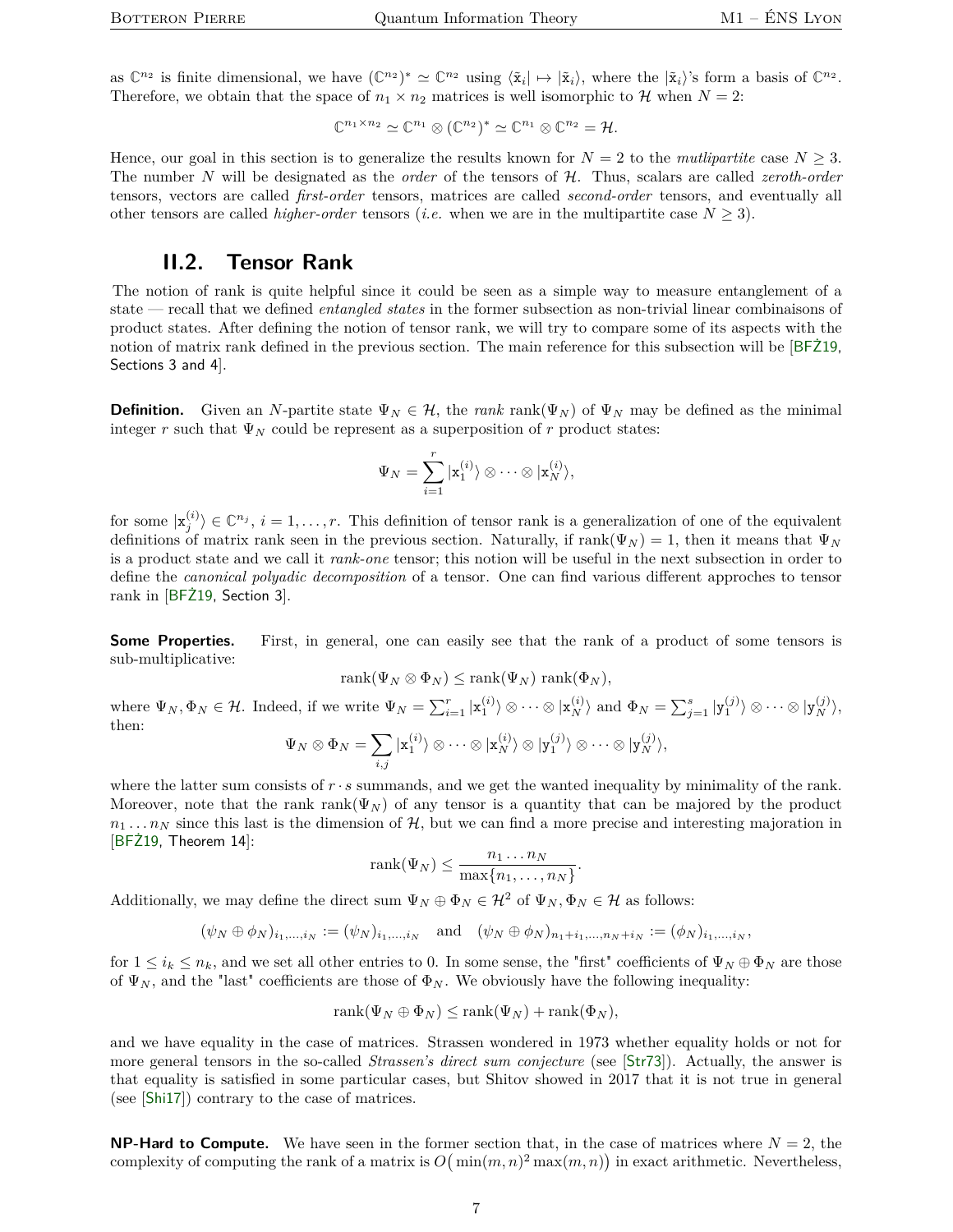as  $\mathbb{C}^{n_2}$  is finite dimensional, we have  $(\mathbb{C}^{n_2})^* \simeq \mathbb{C}^{n_2}$  using  $\langle \tilde{\mathbf{x}}_i | \mapsto | \tilde{\mathbf{x}}_i \rangle$ , where the  $| \tilde{\mathbf{x}}_i \rangle$ 's form a basis of  $\mathbb{C}^{n_2}$ . Therefore, we obtain that the space of  $n_1 \times n_2$  matrices is well isomorphic to H when  $N = 2$ :

$$
\mathbb{C}^{n_1 \times n_2} \simeq \mathbb{C}^{n_1} \otimes (\mathbb{C}^{n_2})^* \simeq \mathbb{C}^{n_1} \otimes \mathbb{C}^{n_2} = \mathcal{H}.
$$

Hence, our goal in this section is to generalize the results known for  $N = 2$  to the *mutlipartite* case  $N \geq 3$ . The number *N* will be designated as the *order* of the tensors of H. Thus, scalars are called *zeroth-order* tensors, vectors are called *first-order* tensors, matrices are called *second-order* tensors, and eventually all other tensors are called *higher-order* tensors *(i.e.* when we are in the multipartite case  $N \geq 3$ ).

## **II.2. Tensor Rank**

<span id="page-6-0"></span>The notion of rank is quite helpful since it could be seen as a simple way to measure entanglement of a state — recall that we defined *entangled states* in the former subsection as non-trivial linear combinaisons of product states. After defining the notion of tensor rank, we will try to compare some of its aspects with the notion of matrix rank defined in the previous section. The main reference for this subsection will be [[BFŻ19,](#page-17-5) Sections 3 and 4].

**Definition.** Given an *N*-partite state  $\Psi_N \in \mathcal{H}$ , the *rank* rank( $\Psi_N$ ) of  $\Psi_N$  may be defined as the minimal integer *r* such that  $\Psi_N$  could be represent as a superposition of *r* product states:

$$
\Psi_N = \sum_{i=1}^r | \mathbf{x}_1^{(i)} \rangle \otimes \cdots \otimes | \mathbf{x}_N^{(i)} \rangle,
$$

for some  $|x_j^{(i)}\rangle \in \mathbb{C}^{n_j}$ ,  $i = 1, \ldots, r$ . This definition of tensor rank is a generalization of one of the equivalent definitions of matrix rank seen in the previous section. Naturally, if  $\text{rank}(\Psi_N) = 1$ , then it means that  $\Psi_N$ is a product state and we call it *rank-one* tensor; this notion will be useful in the next subsection in order to define the *canonical polyadic decomposition* of a tensor. One can find various different approches to tensor rank in [[BFŻ19,](#page-17-5) Section 3].

**Some Properties.** First, in general, one can easily see that the rank of a product of some tensors is sub-multiplicative:

$$
rank(\Psi_N \otimes \Phi_N) \leq rank(\Psi_N) rank(\Phi_N),
$$

where  $\Psi_N, \Phi_N \in \mathcal{H}$ . Indeed, if we write  $\Psi_N = \sum_{i=1}^r |\mathbf{x}_1^{(i)}\rangle \otimes \cdots \otimes |\mathbf{x}_N^{(i)}\rangle$  and  $\Phi_N = \sum_{j=1}^s |\mathbf{y}_1^{(j)}\rangle \otimes \cdots \otimes |\mathbf{y}_N^{(j)}\rangle$ , then:

$$
\Psi_N \otimes \Phi_N = \sum_{i,j} | \mathbf{x}_1^{(i)} \rangle \otimes \cdots \otimes | \mathbf{x}_N^{(i)} \rangle \otimes | \mathbf{y}_1^{(j)} \rangle \otimes \cdots \otimes | \mathbf{y}_N^{(j)} \rangle,
$$

where the latter sum consists of  $r \cdot s$  summands, and we get the wanted inequality by minimality of the rank. Moreover, note that the rank rank( $\Psi_N$ ) of any tensor is a quantity that can be majored by the product  $n_1 \ldots n_N$  since this last is the dimension of  $H$ , but we can find a more precise and interesting majoration in [[BFŻ19,](#page-17-5) Theorem 14]:

$$
rank(\Psi_N) \leq \frac{n_1 \dots n_N}{\max\{n_1, \dots, n_N\}}.
$$

Additionally, we may define the direct sum  $\Psi_N \oplus \Phi_N \in \mathcal{H}^2$  of  $\Psi_N, \Phi_N \in \mathcal{H}$  as follows:

$$
(\psi_N \oplus \phi_N)_{i_1, ..., i_N} := (\psi_N)_{i_1, ..., i_N} \text{ and } (\psi_N \oplus \phi_N)_{n_1 + i_1, ..., n_N + i_N} := (\phi_N)_{i_1, ..., i_N},
$$

for  $1 \leq i_k \leq n_k$ , and we set all other entries to 0. In some sense, the "first" coefficients of  $\Psi_N \oplus \Phi_N$  are those of  $\Psi_N$ , and the "last" coefficients are those of  $\Phi_N$ . We obviously have the following inequality:

$$
rank(\Psi_N \oplus \Phi_N) \le rank(\Psi_N) + rank(\Phi_N),
$$

and we have equality in the case of matrices. Strassen wondered in 1973 whether equality holds or not for more general tensors in the so-called *Strassen's direct sum conjecture* (see [[Str73](#page-18-5)]). Actually, the answer is that equality is satisfied in some particular cases, but Shitov showed in 2017 that it is not true in general (see [[Shi17](#page-18-6)]) contrary to the case of matrices.

**NP-Hard to Compute.** We have seen in the former section that, in the case of matrices where  $N = 2$ , the complexity of computing the rank of a matrix is  $O(min(m, n)^2 \max(m, n))$  in exact arithmetic. Nevertheless,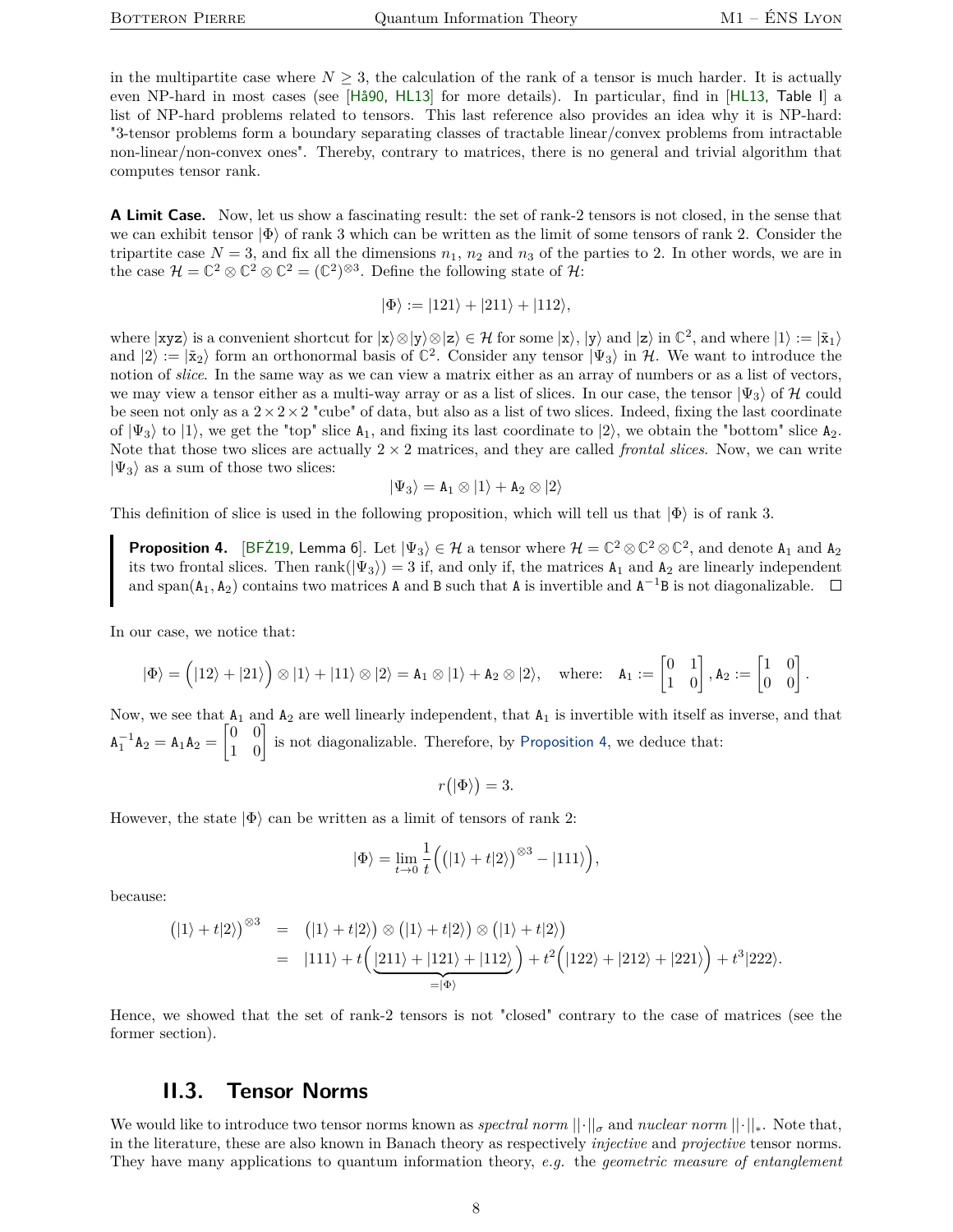in the multipartite case where  $N \geq 3$ , the calculation of the rank of a tensor is much harder. It is actually even NP-hard in most cases (see [[Hå90,](#page-17-6) [HL13](#page-17-2)] for more details). In particular, find in [[HL13,](#page-17-2) Table I] a list of NP-hard problems related to tensors. This last reference also provides an idea why it is NP-hard: "3-tensor problems form a boundary separating classes of tractable linear/convex problems from intractable non-linear/non-convex ones". Thereby, contrary to matrices, there is no general and trivial algorithm that computes tensor rank.

**A Limit Case.** Now, let us show a fascinating result: the set of rank-2 tensors is not closed, in the sense that we can exhibit tensor  $|\Phi\rangle$  of rank 3 which can be written as the limit of some tensors of rank 2. Consider the tripartite case  $N = 3$ , and fix all the dimensions  $n_1$ ,  $n_2$  and  $n_3$  of the parties to 2. In other words, we are in the case  $\mathcal{H} = \mathbb{C}^2 \otimes \mathbb{C}^2 \otimes \mathbb{C}^2 = (\mathbb{C}^2)^{\otimes 3}$ . Define the following state of  $\mathcal{H}$ :

$$
|\Phi\rangle := |121\rangle + |211\rangle + |112\rangle,
$$

where  $|\mathbf{xyz}\rangle$  is a convenient shortcut for  $|\mathbf{x}\rangle \otimes |\mathbf{y}\rangle \otimes |\mathbf{z}\rangle \in \mathcal{H}$  for some  $|\mathbf{x}\rangle$ ,  $|\mathbf{y}\rangle$  and  $|\mathbf{z}\rangle$  in  $\mathbb{C}^2$ , and where  $|1\rangle := |\tilde{\mathbf{x}}_1\rangle$ and  $|2\rangle := |\tilde{\mathbf{x}}_2\rangle$  form an orthonormal basis of  $\mathbb{C}^2$ . Consider any tensor  $|\Psi_3\rangle$  in H. We want to introduce the notion of *slice*. In the same way as we can view a matrix either as an array of numbers or as a list of vectors, we may view a tensor either as a multi-way array or as a list of slices. In our case, the tensor  $|\Psi_3\rangle$  of H could be seen not only as a  $2 \times 2 \times 2$  "cube" of data, but also as a list of two slices. Indeed, fixing the last coordinate of  $|\Psi_3\rangle$  to  $|1\rangle$ , we get the "top" slice  $A_1$ , and fixing its last coordinate to  $|2\rangle$ , we obtain the "bottom" slice  $A_2$ . Note that those two slices are actually  $2 \times 2$  matrices, and they are called *frontal slices*. Now, we can write  $|\Psi_3\rangle$  as a sum of those two slices:

$$
|\Psi_3\rangle=\mathtt{A}_1\otimes|1\rangle+\mathtt{A}_2\otimes|2\rangle
$$

This definition of slice is used in the following proposition, which will tell us that  $|\Phi\rangle$  is of rank 3.

<span id="page-7-1"></span>**Proposition 4.** [BFZ19, Lemma 6]. Let  $|\Psi_3\rangle \in \mathcal{H}$  a tensor where  $\mathcal{H} = \mathbb{C}^2 \otimes \mathbb{C}^2 \otimes \mathbb{C}^2$ , and denote  $A_1$  and  $A_2$ its two frontal slices. Then rank( $|\Psi_3\rangle$ ) = 3 if, and only if, the matrices  $A_1$  and  $A_2$  are linearly independent and span( $A_1$ ,  $A_2$ ) contains two matrices A and B such that A is invertible and  $A^{-1}B$  is not diagonalizable.

In our case, we notice that:

$$
|\Phi\rangle = \left(|12\rangle + |21\rangle\right) \otimes |1\rangle + |11\rangle \otimes |2\rangle = \mathbf{A}_1 \otimes |1\rangle + \mathbf{A}_2 \otimes |2\rangle, \quad \text{where:} \quad \mathbf{A}_1 := \begin{bmatrix} 0 & 1 \\ 1 & 0 \end{bmatrix}, \mathbf{A}_2 := \begin{bmatrix} 1 & 0 \\ 0 & 0 \end{bmatrix}.
$$

Now, we see that  $A_1$  and  $A_2$  are well linearly independent, that  $A_1$  is invertible with itself as inverse, and that  $A_1^{-1}A_2 = A_1A_2 = \begin{bmatrix} 0 & 0 \\ 1 & 0 \end{bmatrix}$  is not diagonalizable. Therefore, by [Proposition](#page-7-1) [4](#page-7-1), we deduce that:

$$
r(|\Phi\rangle) = 3.
$$

However, the state  $|\Phi\rangle$  can be written as a limit of tensors of rank 2:

$$
|\Phi\rangle = \lim_{t \to 0} \frac{1}{t} ((|1\rangle + t|2\rangle)^{\otimes 3} - |111\rangle),
$$

because:

$$
(|1\rangle + t|2\rangle)^{\otimes 3} = (|1\rangle + t|2\rangle) \otimes (|1\rangle + t|2\rangle) \otimes (|1\rangle + t|2\rangle)
$$
  
= |111\rangle + t $\Big(\underbrace{|211\rangle + |121\rangle + |112\rangle}_{=|\Phi\rangle}\Big) + t^2 \Big(|122\rangle + |212\rangle + |221\rangle\Big) + t^3|222\rangle.$ 

Hence, we showed that the set of rank-2 tensors is not "closed" contrary to the case of matrices (see the former section).

#### **II.3. Tensor Norms**

<span id="page-7-0"></span>We would like to introduce two tensor norms known as *spectral norm* ||·||*<sup>σ</sup>* and *nuclear norm* ||·||∗. Note that, in the literature, these are also known in Banach theory as respectively *injective* and *projective* tensor norms. They have many applications to quantum information theory, *e.g.* the *geometric measure of entanglement*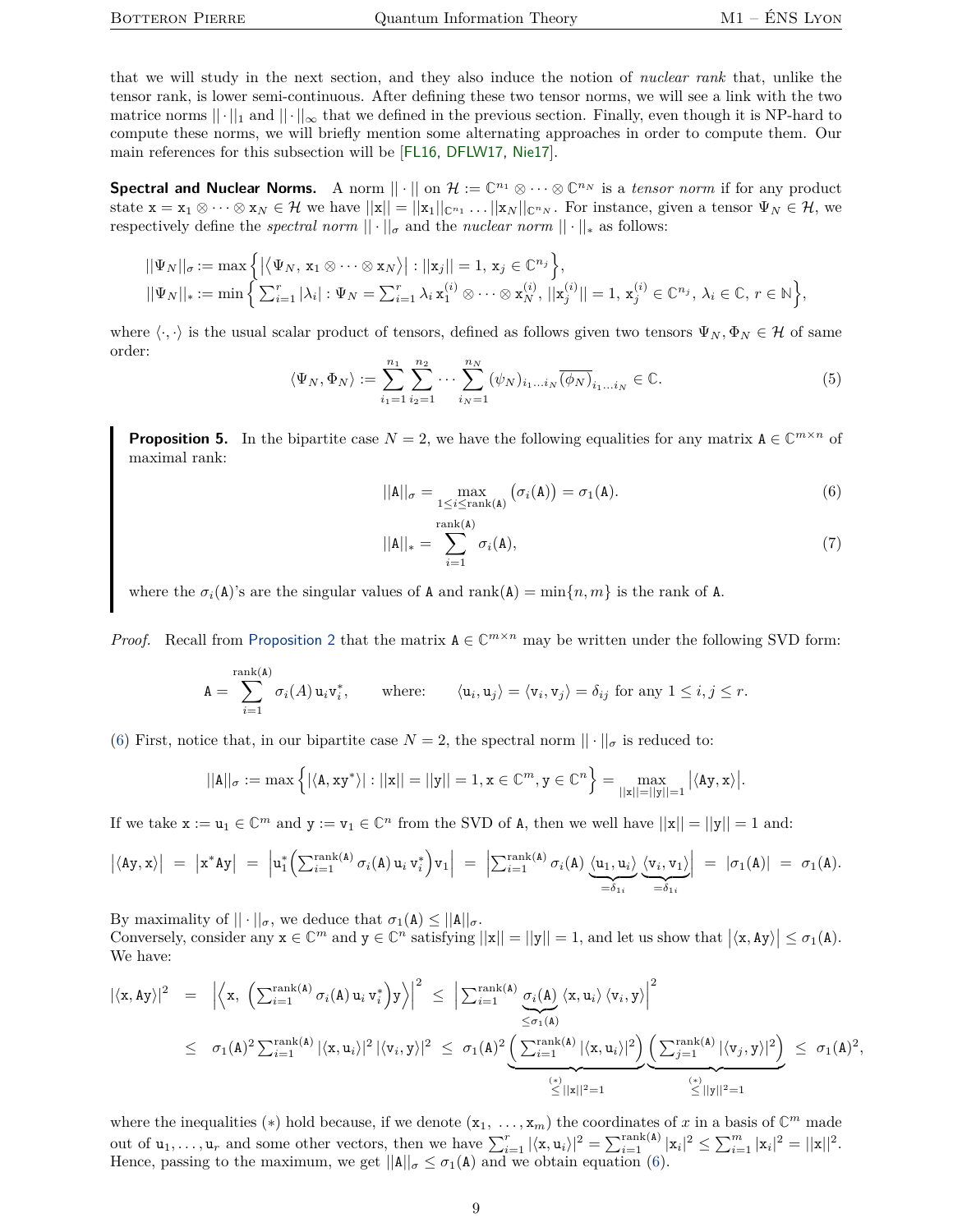that we will study in the next section, and they also induce the notion of *nuclear rank* that, unlike the tensor rank, is lower semi-continuous. After defining these two tensor norms, we will see a link with the two matrice norms  $|| \cdot ||_1$  and  $|| \cdot ||_{\infty}$  that we defined in the previous section. Finally, even though it is NP-hard to compute these norms, we will briefly mention some alternating approaches in order to compute them. Our main references for this subsection will be [[FL16,](#page-17-7) [DFLW17,](#page-17-8) [Nie17](#page-17-9)].

**Spectral and Nuclear Norms.** A norm  $\|\cdot\|$  on  $\mathcal{H} := \mathbb{C}^{n_1} \otimes \cdots \otimes \mathbb{C}^{n_N}$  is a *tensor norm* if for any product state  $\mathbf{x} = \mathbf{x}_1 \otimes \cdots \otimes \mathbf{x}_N \in \mathcal{H}$  we have  $||\mathbf{x}|| = ||\mathbf{x}_1||_{\mathbb{C}^{n_1}} \cdots ||\mathbf{x}_N||_{\mathbb{C}^{n_N}}$ . For instance, given a tensor  $\Psi_N \in \mathcal{H}$ , we respectively define the *spectral norm*  $|| \cdot ||_{\sigma}$  and the *nuclear norm*  $|| \cdot ||_{*}$  as follows:

$$
||\Psi_N||_{\sigma} := \max \left\{ |\langle \Psi_N, x_1 \otimes \cdots \otimes x_N \rangle| : ||x_j|| = 1, x_j \in \mathbb{C}^{n_j} \right\},
$$
  

$$
||\Psi_N||_* := \min \left\{ \sum_{i=1}^r |\lambda_i| : \Psi_N = \sum_{i=1}^r \lambda_i x_1^{(i)} \otimes \cdots \otimes x_N^{(i)}, ||x_j^{(i)}|| = 1, x_j^{(i)} \in \mathbb{C}^{n_j}, \lambda_i \in \mathbb{C}, r \in \mathbb{N} \right\},\
$$

where  $\langle \cdot, \cdot \rangle$  is the usual scalar product of tensors, defined as follows given two tensors  $\Psi_N, \Phi_N \in \mathcal{H}$  of same order:

<span id="page-8-2"></span>
$$
\langle \Psi_N, \Phi_N \rangle := \sum_{i_1=1}^{n_1} \sum_{i_2=1}^{n_2} \cdots \sum_{i_N=1}^{n_N} (\psi_N)_{i_1...i_N} \overline{(\phi_N)}_{i_1...i_N} \in \mathbb{C}.
$$
 (5)

<span id="page-8-1"></span>**Proposition 5.** In the bipartite case  $N = 2$ , we have the following equalities for any matrix  $A \in \mathbb{C}^{m \times n}$  of maximal rank:

<span id="page-8-0"></span>
$$
||\mathbf{A}||_{\sigma} = \max_{1 \leq i \leq \text{rank}(\mathbf{A})} (\sigma_i(\mathbf{A})) = \sigma_1(\mathbf{A}).
$$
\n(6)

$$
||\mathbf{A}||_* = \sum_{i=1}^{\text{rank}(\mathbf{A})} \sigma_i(\mathbf{A}), \tag{7}
$$

where the  $\sigma_i(A)$ 's are the singular values of A and rank(A) = min{ $n, m$ } is the rank of A.

*Proof.* Recall from [Proposition](#page-4-1) [2](#page-4-1) that the matrix  $A \in \mathbb{C}^{m \times n}$  may be written under the following SVD form:

$$
\mathbf{A} = \sum_{i=1}^{\text{rank}(\mathbf{A})} \sigma_i(A) \, \mathbf{u}_i \mathbf{v}_i^*, \qquad \text{where:} \qquad \langle \mathbf{u}_i, \mathbf{u}_j \rangle = \langle \mathbf{v}_i, \mathbf{v}_j \rangle = \delta_{ij} \text{ for any } 1 \leq i, j \leq r.
$$

[\(6\)](#page-8-0) First, notice that, in our bipartite case  $N = 2$ , the spectral norm  $|| \cdot ||_{\sigma}$  is reduced to:

$$
||A||_{\sigma} := \max \left\{ |\langle A, xy^* \rangle| : ||x|| = ||y|| = 1, x \in \mathbb{C}^m, y \in \mathbb{C}^n \right\} = \max_{||x|| = ||y|| = 1} |\langle Ay, x \rangle|.
$$

If we take  $\mathbf{x} := \mathbf{u}_1 \in \mathbb{C}^m$  and  $\mathbf{y} := \mathbf{v}_1 \in \mathbb{C}^n$  from the SVD of A, then we well have  $||\mathbf{x}|| = ||\mathbf{y}|| = 1$  and:

$$
\left|\langle Ay, x\rangle\right| = \left|x^* Ay\right| = \left|u_1^* \left(\sum_{i=1}^{\operatorname{rank}(A)} \sigma_i(A) u_i v_i^*\right) v_1\right| = \left|\sum_{i=1}^{\operatorname{rank}(A)} \sigma_i(A) \underbrace{\langle u_1, u_i \rangle}_{=\delta_{1i}} \underbrace{\langle v_i, v_1 \rangle}_{=\delta_{1i}}\right| = |\sigma_1(A)| = \sigma_1(A).
$$

By maximality of  $|| \cdot ||_{\sigma}$ , we deduce that  $\sigma_1(\mathbf{A}) \leq ||\mathbf{A}||_{\sigma}$ .

Conversely, consider any  $\mathbf{x} \in \mathbb{C}^m$  and  $\mathbf{y} \in \mathbb{C}^n$  satisfying  $||\mathbf{x}|| = ||\mathbf{y}|| = 1$ , and let us show that  $|\langle \mathbf{x}, \mathbf{A} \mathbf{y} \rangle| \leq \sigma_1(\mathbf{A})$ . We have:

$$
\begin{array}{rcl} |\langle \mathbf{x},\mathbf{A}\mathbf{y}\rangle|^2&=&\left|\left\langle \mathbf{x},\ \left(\sum_{i=1}^{\mathrm{rank}(\mathtt{A})}\sigma_i(\mathtt{A})\, \mathbf{u}_i\, \mathbf{v}_i^*\right)\mathbf{y}\right\rangle\right|^2\,\leq&\left|\sum_{i=1}^{\mathrm{rank}(\mathtt{A})}\frac{\sigma_i(\mathtt{A})}{\sigma_i(\mathtt{A})}\, \langle \mathbf{x},\mathbf{u}_i\rangle\, \langle \mathbf{v}_i,\mathbf{y}\rangle\right|^2\\&\leq&\sigma_1(\mathtt{A})^2\sum_{i=1}^{\mathrm{rank}(\mathtt{A})}|\langle \mathbf{x},\mathbf{u}_i\rangle|^2\, |\langle \mathbf{v}_i,\mathbf{y}\rangle|^2\,\leq&\sigma_1(\mathtt{A})^2\underbrace{\left(\sum_{i=1}^{\mathrm{rank}(\mathtt{A})}|\langle \mathbf{x},\mathbf{u}_i\rangle|^2\right)}_{\leq||\mathbf{x}||^2=1}\underbrace{\left(\sum_{j=1}^{\mathrm{rank}(\mathtt{A})}|\langle \mathbf{v}_j,\mathbf{y}\rangle|^2\right)}_{\leq||\mathbf{y}||^2=1}\leq&\sigma_1(\mathtt{A})^2,\end{array}
$$

where the inequalities (\*) hold because, if we denote  $(x_1, \ldots, x_m)$  the coordinates of x in a basis of  $\mathbb{C}^m$  made out of  $u_1, \ldots, u_r$  and some other vectors, then we have  $\sum_{i=1}^r |\langle x, u_i \rangle|^2 = \sum_{i=1}^{\text{rank}(A)} |x_i|^2 \le \sum_{i=1}^m |x_i|^2 = ||x||^2$ . Hence, passing to the maximum, we get  $||A||_{\sigma} \leq \sigma_1(A)$  and we obtain equation [\(6\)](#page-8-0).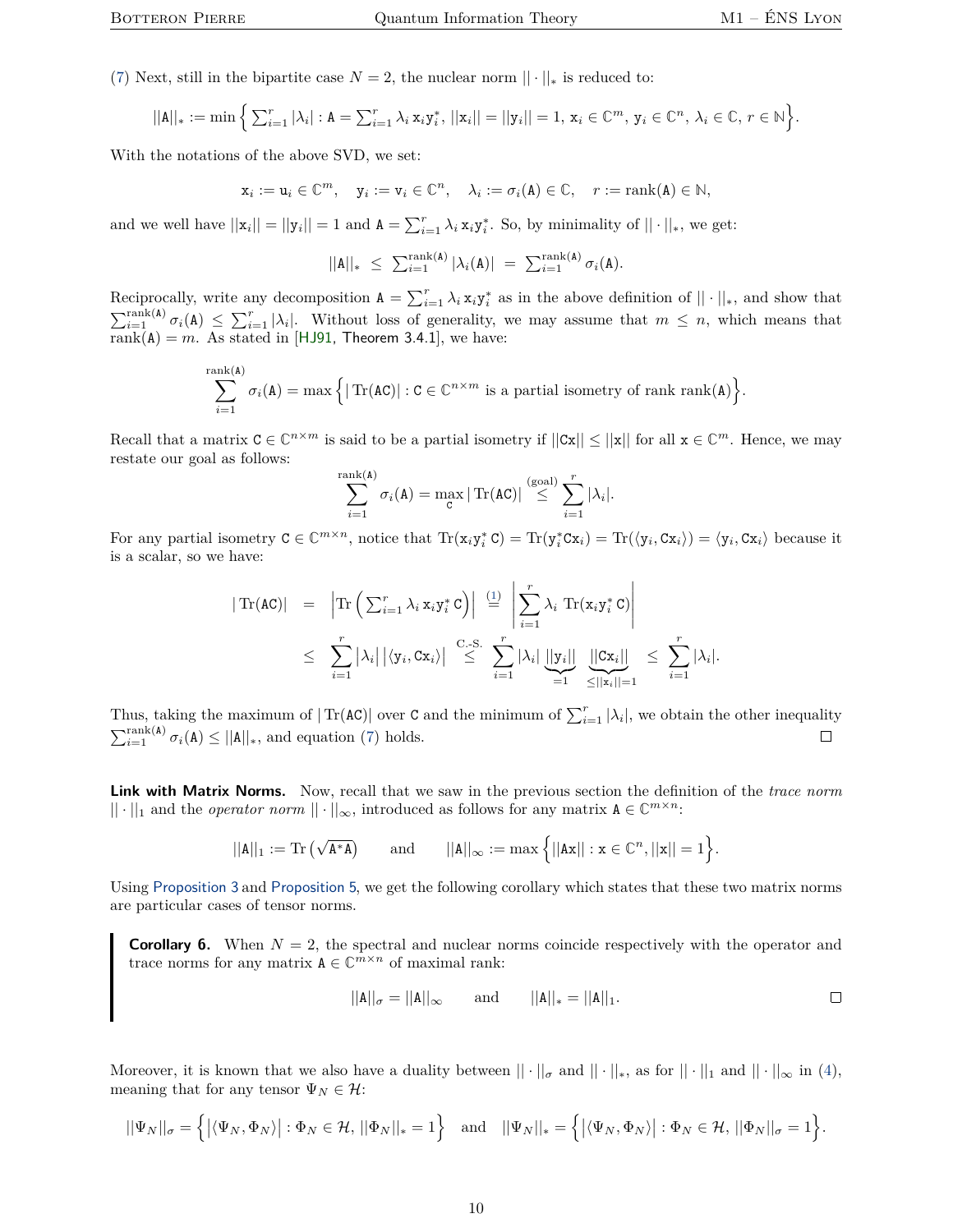[\(7\)](#page-8-0) Next, still in the bipartite case  $N = 2$ , the nuclear norm  $|| \cdot ||_*$  is reduced to:

$$
||A||_* := \min \Big\{ \sum_{i=1}^r |\lambda_i| : A = \sum_{i=1}^r \lambda_i x_i y_i^*, ||x_i|| = ||y_i|| = 1, x_i \in \mathbb{C}^m, y_i \in \mathbb{C}^n, \lambda_i \in \mathbb{C}, r \in \mathbb{N} \Big\}.
$$

With the notations of the above SVD, we set:

$$
\mathbf{x}_i := \mathbf{u}_i \in \mathbb{C}^m, \quad \mathbf{y}_i := \mathbf{v}_i \in \mathbb{C}^n, \quad \lambda_i := \sigma_i(\mathbf{A}) \in \mathbb{C}, \quad r := \text{rank}(\mathbf{A}) \in \mathbb{N},
$$

and we well have  $||\mathbf{x}_i|| = ||\mathbf{y}_i|| = 1$  and  $\mathbf{A} = \sum_{i=1}^r \lambda_i \mathbf{x}_i \mathbf{y}_i^*$ . So, by minimality of  $|| \cdot ||_*$ , we get:

$$
||\mathbf{A}||_* \leq \sum_{i=1}^{\text{rank}(\mathbf{A})} |\lambda_i(\mathbf{A})| = \sum_{i=1}^{\text{rank}(\mathbf{A})} \sigma_i(\mathbf{A}).
$$

Reciprocally, write any decomposition  $A = \sum_{i=1}^{r} \lambda_i x_i y_i^*$  as in the above definition of  $|| \cdot ||_*$ , and show that  $\sum_{i=1}^{\text{rank}(A)} \sigma_i(A) \leq \sum_{i=1}^r |\lambda_i|$ . Without loss of generality, we may assume that  $m \leq n$ , which means that  $rank(A) = m$ . As stated in [[HJ91,](#page-17-4) Theorem 3.4.1], we have:

$$
\sum_{i=1}^{\text{rank}(A)} \sigma_i(A) = \max \Big\{ |\operatorname{Tr}(AC)| : C \in \mathbb{C}^{n \times m} \text{ is a partial isometry of rank } \text{rank}(A) \Big\}.
$$

Recall that a matrix  $C \in \mathbb{C}^{n \times m}$  is said to be a partial isometry if  $||Cx|| \le ||x||$  for all  $x \in \mathbb{C}^m$ . Hence, we may restate our goal as follows:

$$
\sum_{i=1}^{\operatorname{rank}(\mathbf{A})} \sigma_i(\mathbf{A}) = \max_{\mathbf{C}} |\operatorname{Tr}(\mathbf{A}\mathbf{C})| \stackrel{\text{(goal)}}{\leq} \sum_{i=1}^r |\lambda_i|.
$$

For any partial isometry  $C \in \mathbb{C}^{m \times n}$ , notice that  $\text{Tr}(\mathbf{x}_i \mathbf{y}_i^* C) = \text{Tr}(\mathbf{y}_i^* C \mathbf{x}_i) = \text{Tr}(\langle \mathbf{y}_i, C \mathbf{x}_i \rangle) = \langle \mathbf{y}_i, C \mathbf{x}_i \rangle$  because it is a scalar, so we have:

$$
|\operatorname{Tr}(AC)| = |\operatorname{Tr} \left( \sum_{i=1}^r \lambda_i x_i y_i^* C \right)| \stackrel{(1)}{=} \left| \sum_{i=1}^r \lambda_i \operatorname{Tr}(x_i y_i^* C) \right|
$$
  

$$
\leq \sum_{i=1}^r |\lambda_i| |\langle y_i, Cx_i \rangle| \stackrel{C-S.}{\leq} \sum_{i=1}^r |\lambda_i| \underbrace{||y_i||}_{=1} \underbrace{||Cx_i||}_{\leq ||x_i||=1} \leq \sum_{i=1}^r |\lambda_i|.
$$

Thus, taking the maximum of  $|\text{Tr}(\text{AC})|$  over C and the minimum of  $\sum_{i=1}^{r} |\lambda_i|$ , we obtain the other inequality  $\sum_{i=1}^{\text{rank(A)}} \sigma_i(\mathbf{A}) \le ||\mathbf{A}||_*$ , and equation [\(7\)](#page-8-0) holds.  $\Box$ 

**Link with Matrix Norms.** Now, recall that we saw in the previous section the definition of the *trace norm*  $|| \cdot ||_1$  and the *operator norm*  $|| \cdot ||_{\infty}$ , introduced as follows for any matrix  $A \in \mathbb{C}^{m \times n}$ :

$$
||\mathtt{A}||_1 := \mathrm{Tr}\left(\sqrt{\mathtt{A}^*\mathtt{A}}\right) \qquad \text{and} \qquad ||\mathtt{A}||_\infty := \max\Big\{||\mathtt{A}\mathtt{x}||: \mathtt{x} \in \mathbb{C}^n, ||\mathtt{x}|| = 1\Big\}.
$$

Using [Proposition](#page-5-2) [3](#page-5-2) and [Proposition](#page-8-1) [5](#page-8-1), we get the following corollary which states that these two matrix norms are particular cases of tensor norms.

**Corollary 6.** When  $N = 2$ , the spectral and nuclear norms coincide respectively with the operator and trace norms for any matrix  $A \in \mathbb{C}^{m \times n}$  of maximal rank:

<span id="page-9-0"></span>
$$
||A||_{\sigma} = ||A||_{\infty}
$$
 and  $||A||_{*} = ||A||_{1}$ .

Moreover, it is known that we also have a duality between  $|| \cdot ||_{\sigma}$  and  $|| \cdot ||_{*}$ , as for  $|| \cdot ||_{1}$  and  $|| \cdot ||_{\infty}$  in [\(4\)](#page-4-3), meaning that for any tensor  $\Psi_N \in \mathcal{H}$ :

$$
||\Psi_N||_{\sigma} = \left\{ \left| \langle \Psi_N, \Phi_N \rangle \right| : \Phi_N \in \mathcal{H}, \, ||\Phi_N||_* = 1 \right\} \quad \text{and} \quad ||\Psi_N||_* = \left\{ \left| \langle \Psi_N, \Phi_N \rangle \right| : \Phi_N \in \mathcal{H}, \, ||\Phi_N||_{\sigma} = 1 \right\}.
$$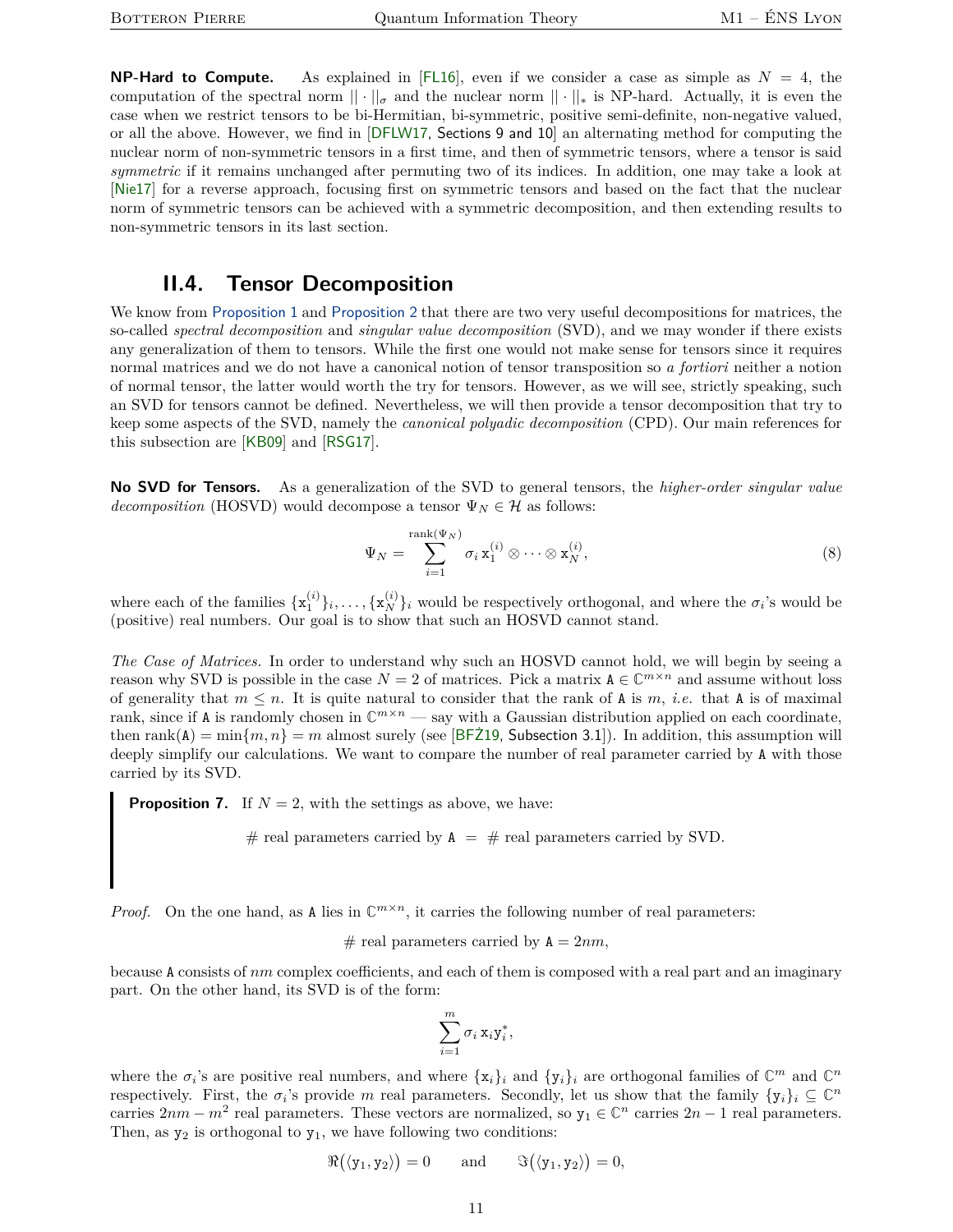**NP-Hard to Compute.** As explained in  $[FL16]$  $[FL16]$  $[FL16]$ , even if we consider a case as simple as  $N = 4$ , the computation of the spectral norm  $|| \cdot ||_{\sigma}$  and the nuclear norm  $|| \cdot ||_{*}$  is NP-hard. Actually, it is even the case when we restrict tensors to be bi-Hermitian, bi-symmetric, positive semi-definite, non-negative valued, or all the above. However, we find in [[DFLW17,](#page-17-8) Sections 9 and 10] an alternating method for computing the nuclear norm of non-symmetric tensors in a first time, and then of symmetric tensors, where a tensor is said *symmetric* if it remains unchanged after permuting two of its indices. In addition, one may take a look at [[Nie17](#page-17-9)] for a reverse approach, focusing first on symmetric tensors and based on the fact that the nuclear norm of symmetric tensors can be achieved with a symmetric decomposition, and then extending results to non-symmetric tensors in its last section.

#### **II.4. Tensor Decomposition**

<span id="page-10-0"></span>We know from [Proposition](#page-3-2) [1](#page-3-2) and [Proposition](#page-4-1) [2](#page-4-1) that there are two very useful decompositions for matrices, the so-called *spectral decomposition* and *singular value decomposition* (SVD), and we may wonder if there exists any generalization of them to tensors. While the first one would not make sense for tensors since it requires normal matrices and we do not have a canonical notion of tensor transposition so *a fortiori* neither a notion of normal tensor, the latter would worth the try for tensors. However, as we will see, strictly speaking, such an SVD for tensors cannot be defined. Nevertheless, we will then provide a tensor decomposition that try to keep some aspects of the SVD, namely the *canonical polyadic decomposition* (CPD). Our main references for this subsection are [[KB09](#page-17-10)] and [[RSG17](#page-18-7)].

**No SVD for Tensors.** As a generalization of the SVD to general tensors, the *higher-order singular value decomposition* (HOSVD) would decompose a tensor  $\Psi_N \in \mathcal{H}$  as follows:

$$
\Psi_N = \sum_{i=1}^{\text{rank}(\Psi_N)} \sigma_i \mathbf{x}_1^{(i)} \otimes \cdots \otimes \mathbf{x}_N^{(i)},
$$
\n(8)

where each of the families  $\{x_1^{(i)}\}_i, \ldots, \{x_N^{(i)}\}_i$  would be respectively orthogonal, and where the  $\sigma_i$ 's would be (positive) real numbers. Our goal is to show that such an HOSVD cannot stand.

*The Case of Matrices.* In order to understand why such an HOSVD cannot hold, we will begin by seeing a reason why SVD is possible in the case  $N = 2$  of matrices. Pick a matrix  $A \in \mathbb{C}^{m \times n}$  and assume without loss of generality that  $m \leq n$ . It is quite natural to consider that the rank of A is  $m$ , *i.e.* that A is of maximal rank, since if A is randomly chosen in  $\mathbb{C}^{m \times n}$  — say with a Gaussian distribution applied on each coordinate, then rank(A) =  $\min\{m, n\}$  = *m* almost surely (see [BFZ19, Subsection 3.1]). In addition, this assumption will deeply simplify our calculations. We want to compare the number of real parameter carried by A with those carried by its SVD.

<span id="page-10-1"></span>**Proposition 7.** If  $N = 2$ , with the settings as above, we have:

# real parameters carried by  $A = #$  real parameters carried by SVD.

*Proof.* On the one hand, as A lies in  $\mathbb{C}^{m \times n}$ , it carries the following number of real parameters:

 $#$  real parameters carried by  $A = 2nm$ ,

because A consists of *nm* complex coefficients, and each of them is composed with a real part and an imaginary part. On the other hand, its SVD is of the form:

$$
\sum_{i=1}^m \sigma_i \mathbf{x}_i \mathbf{y}_i^*,
$$

where the  $\sigma_i$ 's are positive real numbers, and where  $\{x_i\}_i$  and  $\{y_i\}_i$  are orthogonal families of  $\mathbb{C}^m$  and  $\mathbb{C}^n$ respectively. First, the  $\sigma_i$ 's provide *m* real parameters. Secondly, let us show that the family  $\{y_i\}_i \subseteq \mathbb{C}^n$ carries  $2nm - m^2$  real parameters. These vectors are normalized, so  $y_1 \in \mathbb{C}^n$  carries  $2n - 1$  real parameters. Then, as  $y_2$  is orthogonal to  $y_1$ , we have following two conditions:

$$
\Re(\langle y_1, y_2 \rangle) = 0
$$
 and  $\Im(\langle y_1, y_2 \rangle) = 0$ ,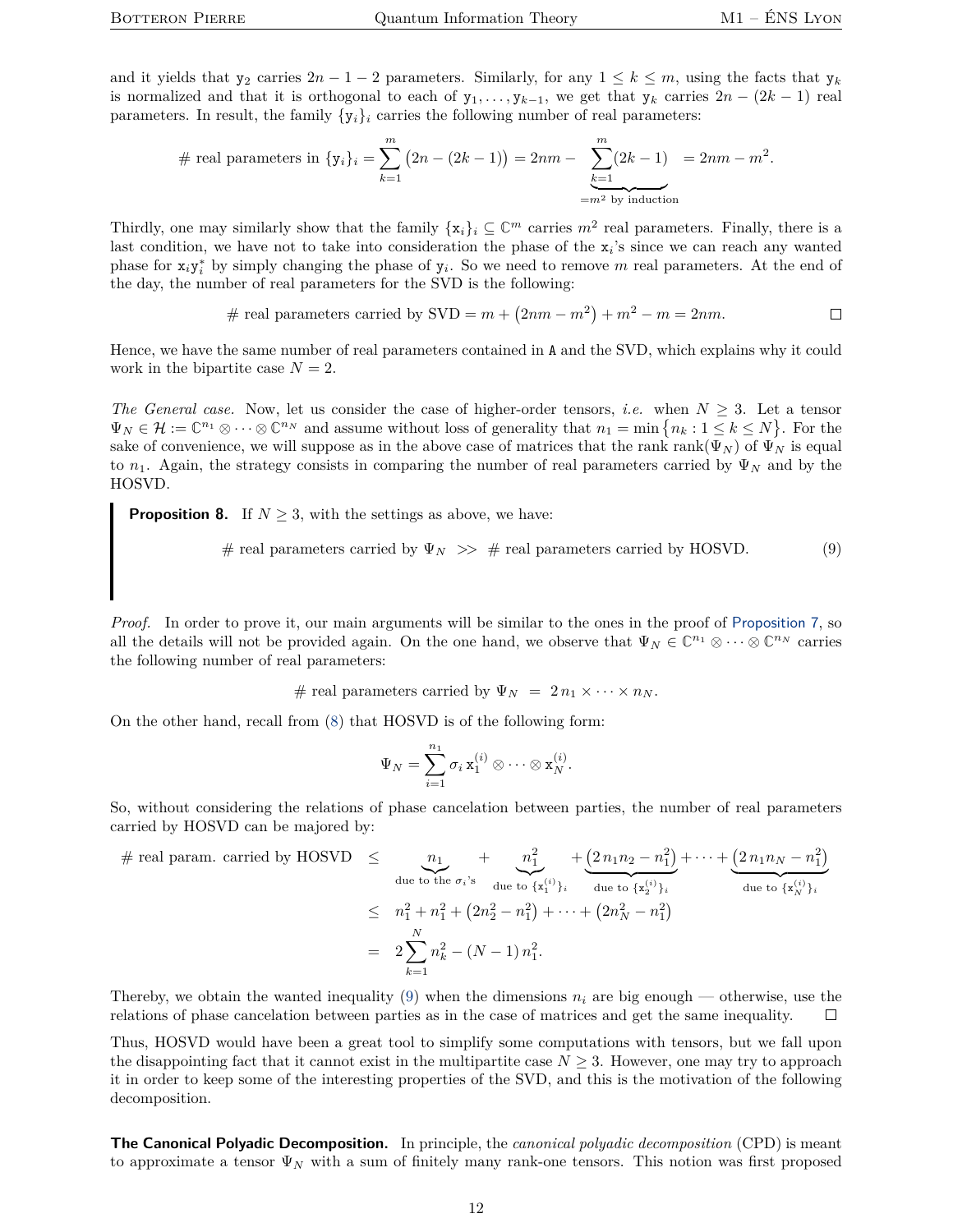and it yields that  $y_2$  carries  $2n - 1 - 2$  parameters. Similarly, for any  $1 \leq k \leq m$ , using the facts that  $y_k$ is normalized and that it is orthogonal to each of  $y_1, \ldots, y_{k-1}$ , we get that  $y_k$  carries  $2n - (2k - 1)$  real parameters. In result, the family  $\{y_i\}_i$  carries the following number of real parameters:

# real parameters in 
$$
\{y_i\}_i = \sum_{k=1}^m (2n - (2k - 1)) = 2nm - \sum_{\substack{k=1 \ \text{=}^m \text{by induction}}}^m (2k - 1) = 2nm - m^2.
$$

Thirdly, one may similarly show that the family  $\{x_i\}_i \subseteq \mathbb{C}^m$  carries  $m^2$  real parameters. Finally, there is a last condition, we have not to take into consideration the phase of the  $x_i$ 's since we can reach any wanted phase for  $x_i y_i^*$  by simply changing the phase of  $y_i$ . So we need to remove m real parameters. At the end of the day, the number of real parameters for the SVD is the following:

# real parameters carried by SVD = 
$$
m + (2nm - m^2) + m^2 - m = 2nm
$$
.

Hence, we have the same number of real parameters contained in A and the SVD, which explains why it could work in the bipartite case  $N = 2$ .

*The General case.* Now, let us consider the case of higher-order tensors, *i.e.* when  $N \geq 3$ . Let a tensor  $\Psi_N \in \mathcal{H} := \mathbb{C}^{n_1} \otimes \cdots \otimes \mathbb{C}^{n_N}$  and assume without loss of generality that  $n_1 = \min \{n_k : 1 \leq k \leq N\}$ . For the sake of convenience, we will suppose as in the above case of matrices that the rank rank( $\Psi_N$ ) of  $\Psi'_N$  is equal to  $n_1$ . Again, the strategy consists in comparing the number of real parameters carried by  $\Psi_N$  and by the HOSVD.

**Proposition 8.** If  $N \geq 3$ , with the settings as above, we have:

<span id="page-11-0"></span># real parameters carried by  $\Psi_N \gg \#$  real parameters carried by HOSVD. (9)

*Proof.* In order to prove it, our main arguments will be similar to the ones in the proof of [Proposition](#page-10-1) [7](#page-10-1), so all the details will not be provided again. On the one hand, we observe that  $\Psi_N \in \mathbb{C}^{n_1} \otimes \cdots \otimes \mathbb{C}^{n_N}$  carries the following number of real parameters:

# real parameters carried by  $\Psi_N = 2 n_1 \times \cdots \times n_N$ .

On the other hand, recall from [\(8\)](#page-9-0) that HOSVD is of the following form:

$$
\Psi_N=\sum_{i=1}^{n_1}\sigma_i\,\mathrm{x}_1^{(i)}\otimes\cdots\otimes\mathrm{x}_N^{(i)}.
$$

So, without considering the relations of phase cancelation between parties, the number of real parameters carried by HOSVD can be majored by:

$$
\# \text{ real param. carried by HOSVD} \leq \underbrace{n_1}_{\text{due to the } \sigma_i \text{'s}} + \underbrace{n_1^2}_{\text{due to } \{\mathbf{x}_1^{(i)}\}_i} + \underbrace{(2 n_1 n_2 - n_1^2)}_{\text{due to } \{\mathbf{x}_2^{(i)}\}_i} + \cdots + \underbrace{(2 n_1 n_N - n_1^2)}_{\text{due to } \{\mathbf{x}_N^{(i)}\}_i}
$$
\n
$$
\leq n_1^2 + n_1^2 + (2n_2^2 - n_1^2) + \cdots + (2n_N^2 - n_1^2)
$$
\n
$$
= 2 \sum_{k=1}^N n_k^2 - (N - 1) n_1^2.
$$

Thereby, we obtain the wanted inequality [\(9\)](#page-11-0) when the dimensions  $n_i$  are big enough — otherwise, use the relations of phase cancelation between parties as in the case of matrices and get the same inequality.  $\Box$ 

Thus, HOSVD would have been a great tool to simplify some computations with tensors, but we fall upon the disappointing fact that it cannot exist in the multipartite case  $N \geq 3$ . However, one may try to approach it in order to keep some of the interesting properties of the SVD, and this is the motivation of the following decomposition.

**The Canonical Polyadic Decomposition.** In principle, the *canonical polyadic decomposition* (CPD) is meant to approximate a tensor Ψ*<sup>N</sup>* with a sum of finitely many rank-one tensors. This notion was first proposed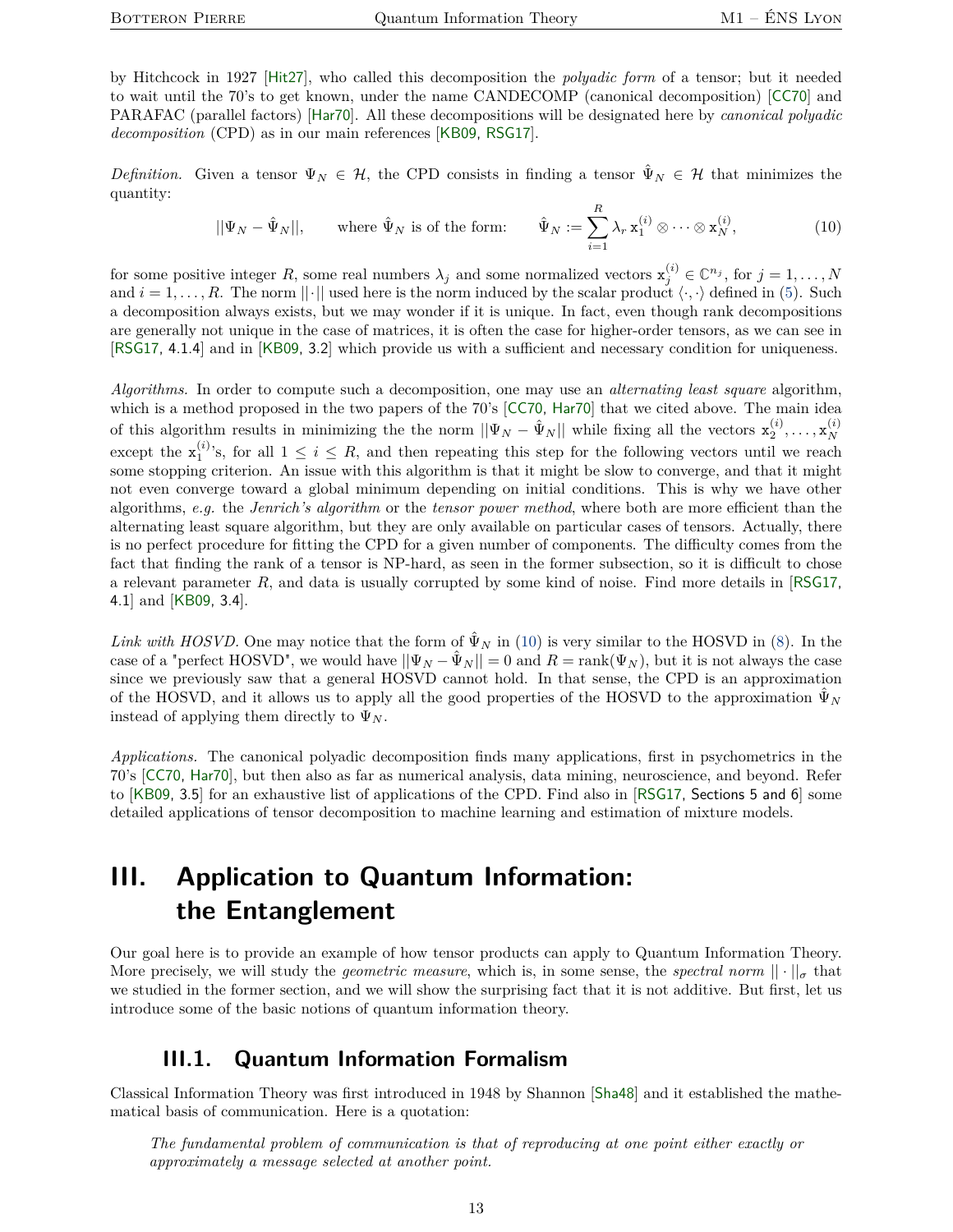by Hitchcock in 1927 [[Hit27](#page-17-11)], who called this decomposition the *polyadic form* of a tensor; but it needed to wait until the 70's to get known, under the name CANDECOMP (canonical decomposition) [[CC70](#page-17-12)] and PARAFAC (parallel factors) [[Har70](#page-17-13)]. All these decompositions will be designated here by *canonical polyadic decomposition* (CPD) as in our main references [[KB09,](#page-17-10) [RSG17](#page-18-7)].

*Definition.* Given a tensor  $\Psi_N \in \mathcal{H}$ , the CPD consists in finding a tensor  $\hat{\Psi}_N \in \mathcal{H}$  that minimizes the quantity:

<span id="page-12-2"></span>
$$
||\Psi_N - \hat{\Psi}_N||, \qquad \text{where } \hat{\Psi}_N \text{ is of the form:} \qquad \hat{\Psi}_N := \sum_{i=1}^R \lambda_r \mathbf{x}_1^{(i)} \otimes \cdots \otimes \mathbf{x}_N^{(i)}, \tag{10}
$$

for some positive integer R, some real numbers  $\lambda_j$  and some normalized vectors  $\mathbf{x}_j^{(i)} \in \mathbb{C}^{n_j}$ , for  $j = 1, \ldots, N$ and  $i = 1, \ldots, R$ . The norm  $||\cdot||$  used here is the norm induced by the scalar product  $\langle \cdot, \cdot \rangle$  defined in [\(5\)](#page-8-2). Such a decomposition always exists, but we may wonder if it is unique. In fact, even though rank decompositions are generally not unique in the case of matrices, it is often the case for higher-order tensors, as we can see in [[RSG17,](#page-18-7) 4.1.4] and in [[KB09,](#page-17-10) 3.2] which provide us with a sufficient and necessary condition for uniqueness.

*Algorithms.* In order to compute such a decomposition, one may use an *alternating least square* algorithm, which is a method proposed in the two papers of the 70's [[CC70,](#page-17-12) [Har70](#page-17-13)] that we cited above. The main idea of this algorithm results in minimizing the the norm  $\|\Psi_N - \hat{\Psi}_N\|$  while fixing all the vectors  $\mathbf{x}_2^{(i)}, \ldots, \mathbf{x}_N^{(i)}$ *N* except the  $\mathbf{x}_1^{(i)}$ 's, for all  $1 \leq i \leq R$ , and then repeating this step for the following vectors until we reach some stopping criterion. An issue with this algorithm is that it might be slow to converge, and that it might not even converge toward a global minimum depending on initial conditions. This is why we have other algorithms, *e.g.* the *Jenrich's algorithm* or the *tensor power method*, where both are more efficient than the alternating least square algorithm, but they are only available on particular cases of tensors. Actually, there is no perfect procedure for fitting the CPD for a given number of components. The difficulty comes from the fact that finding the rank of a tensor is NP-hard, as seen in the former subsection, so it is difficult to chose a relevant parameter *R*, and data is usually corrupted by some kind of noise. Find more details in [[RSG17,](#page-18-7) 4.1] and [[KB09,](#page-17-10) 3.4].

*Link with HOSVD.* One may notice that the form of  $\hat{\Psi}_N$  in [\(10\)](#page-12-2) is very similar to the HOSVD in [\(8\)](#page-9-0). In the case of a "perfect HOSVD", we would have  $||\Psi_N - \hat{\Psi}_N|| = 0$  and  $R = \text{rank}(\Psi_N)$ , but it is not always the case since we previously saw that a general HOSVD cannot hold. In that sense, the CPD is an approximation of the HOSVD, and it allows us to apply all the good properties of the HOSVD to the approximation  $\hat{\Psi}_N$ instead of applying them directly to  $\Psi_N$ .

*Applications.* The canonical polyadic decomposition finds many applications, first in psychometrics in the 70's [[CC70,](#page-17-12) [Har70](#page-17-13)], but then also as far as numerical analysis, data mining, neuroscience, and beyond. Refer to [[KB09,](#page-17-10) 3.5] for an exhaustive list of applications of the CPD. Find also in [[RSG17,](#page-18-7) Sections 5 and 6] some detailed applications of tensor decomposition to machine learning and estimation of mixture models.

# <span id="page-12-0"></span>**III. Application to Quantum Information: the Entanglement**

Our goal here is to provide an example of how tensor products can apply to Quantum Information Theory. More precisely, we will study the *geometric measure*, which is, in some sense, the *spectral norm*  $|| \cdot ||_{\sigma}$  that we studied in the former section, and we will show the surprising fact that it is not additive. But first, let us introduce some of the basic notions of quantum information theory.

## **III.1. Quantum Information Formalism**

<span id="page-12-1"></span>Classical Information Theory was first introduced in 1948 by Shannon [[Sha48](#page-18-3)] and it established the mathematical basis of communication. Here is a quotation:

*The fundamental problem of communication is that of reproducing at one point either exactly or approximately a message selected at another point.*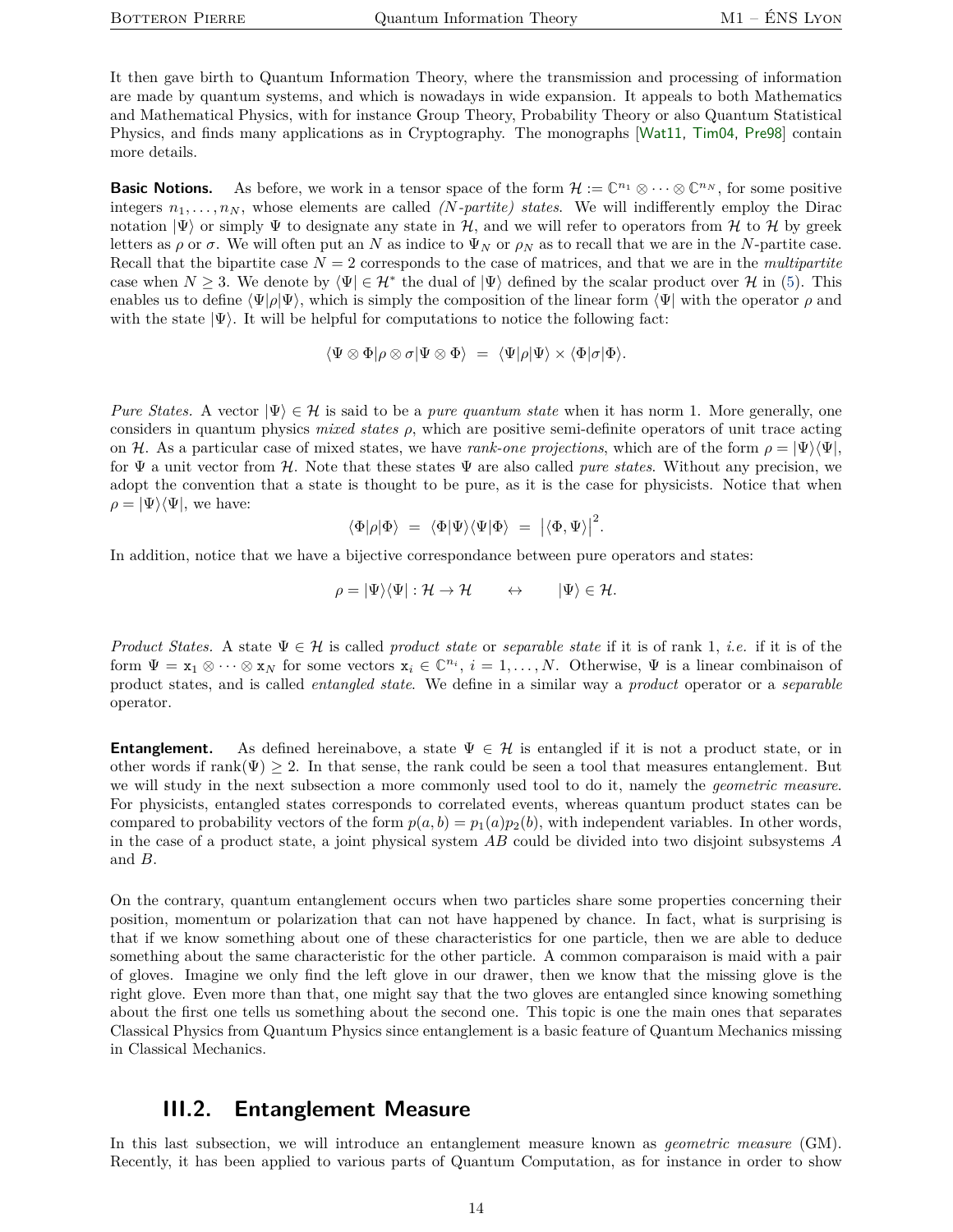It then gave birth to Quantum Information Theory, where the transmission and processing of information are made by quantum systems, and which is nowadays in wide expansion. It appeals to both Mathematics and Mathematical Physics, with for instance Group Theory, Probability Theory or also Quantum Statistical Physics, and finds many applications as in Cryptography. The monographs [[Wat11,](#page-18-4) [Tim04,](#page-18-8) [Pre98](#page-18-9)] contain more details.

**Basic Notions.** As before, we work in a tensor space of the form  $\mathcal{H} := \mathbb{C}^{n_1} \otimes \cdots \otimes \mathbb{C}^{n_N}$ , for some positive integers  $n_1, \ldots, n_N$ , whose elements are called *(N-partite) states*. We will indifferently employ the Dirac notation  $|\Psi\rangle$  or simply  $\Psi$  to designate any state in H, and we will refer to operators from H to H by greek letters as  $\rho$  or  $\sigma$ . We will often put an *N* as indice to  $\Psi_N$  or  $\rho_N$  as to recall that we are in the *N*-partite case. Recall that the bipartite case  $N = 2$  corresponds to the case of matrices, and that we are in the *multipartite* case when  $N \geq 3$ . We denote by  $\langle \Psi | \in \mathcal{H}^*$  the dual of  $|\Psi\rangle$  defined by the scalar product over H in [\(5\)](#page-8-2). This enables us to define  $\langle \Psi | \rho | \Psi \rangle$ , which is simply the composition of the linear form  $\langle \Psi |$  with the operator  $\rho$  and with the state  $|\Psi\rangle$ . It will be helpful for computations to notice the following fact:

$$
\langle \Psi \otimes \Phi | \rho \otimes \sigma | \Psi \otimes \Phi \rangle = \langle \Psi | \rho | \Psi \rangle \times \langle \Phi | \sigma | \Phi \rangle.
$$

*Pure States.* A vector  $|\Psi\rangle \in \mathcal{H}$  is said to be a *pure quantum state* when it has norm 1. More generally, one considers in quantum physics *mixed states ρ*, which are positive semi-definite operators of unit trace acting on H. As a particular case of mixed states, we have *rank-one projections*, which are of the form  $\rho = |\Psi\rangle\langle\Psi|$ , for Ψ a unit vector from H. Note that these states Ψ are also called *pure states*. Without any precision, we adopt the convention that a state is thought to be pure, as it is the case for physicists. Notice that when  $\rho = |\Psi\rangle \langle \Psi|$ , we have:

$$
\langle \Phi | \rho | \Phi \rangle \ = \ \langle \Phi | \Psi \rangle \langle \Psi | \Phi \rangle \ = \ \left| \langle \Phi , \Psi \rangle \right|^2.
$$

In addition, notice that we have a bijective correspondance between pure operators and states:

$$
\rho = |\Psi\rangle\langle\Psi| : \mathcal{H} \to \mathcal{H} \qquad \leftrightarrow \qquad |\Psi\rangle \in \mathcal{H}.
$$

*Product States.* A state Ψ ∈ H is called *product state* or *separable state* if it is of rank 1, *i.e.* if it is of the form  $\Psi = \mathbf{x}_1 \otimes \cdots \otimes \mathbf{x}_N$  for some vectors  $\mathbf{x}_i \in \mathbb{C}^{n_i}$ ,  $i = 1, \ldots, N$ . Otherwise,  $\Psi$  is a linear combinaison of product states, and is called *entangled state*. We define in a similar way a *product* operator or a *separable* operator.

**Entanglement.** As defined hereinabove, a state  $\Psi \in \mathcal{H}$  is entangled if it is not a product state, or in other words if rank $(\Psi) \geq 2$ . In that sense, the rank could be seen a tool that measures entanglement. But we will study in the next subsection a more commonly used tool to do it, namely the *geometric measure*. For physicists, entangled states corresponds to correlated events, whereas quantum product states can be compared to probability vectors of the form  $p(a, b) = p_1(a)p_2(b)$ , with independent variables. In other words, in the case of a product state, a joint physical system *AB* could be divided into two disjoint subsystems *A* and *B*.

On the contrary, quantum entanglement occurs when two particles share some properties concerning their position, momentum or polarization that can not have happened by chance. In fact, what is surprising is that if we know something about one of these characteristics for one particle, then we are able to deduce something about the same characteristic for the other particle. A common comparaison is maid with a pair of gloves. Imagine we only find the left glove in our drawer, then we know that the missing glove is the right glove. Even more than that, one might say that the two gloves are entangled since knowing something about the first one tells us something about the second one. This topic is one the main ones that separates Classical Physics from Quantum Physics since entanglement is a basic feature of Quantum Mechanics missing in Classical Mechanics.

### **III.2. Entanglement Measure**

<span id="page-13-0"></span>In this last subsection, we will introduce an entanglement measure known as *geometric measure* (GM). Recently, it has been applied to various parts of Quantum Computation, as for instance in order to show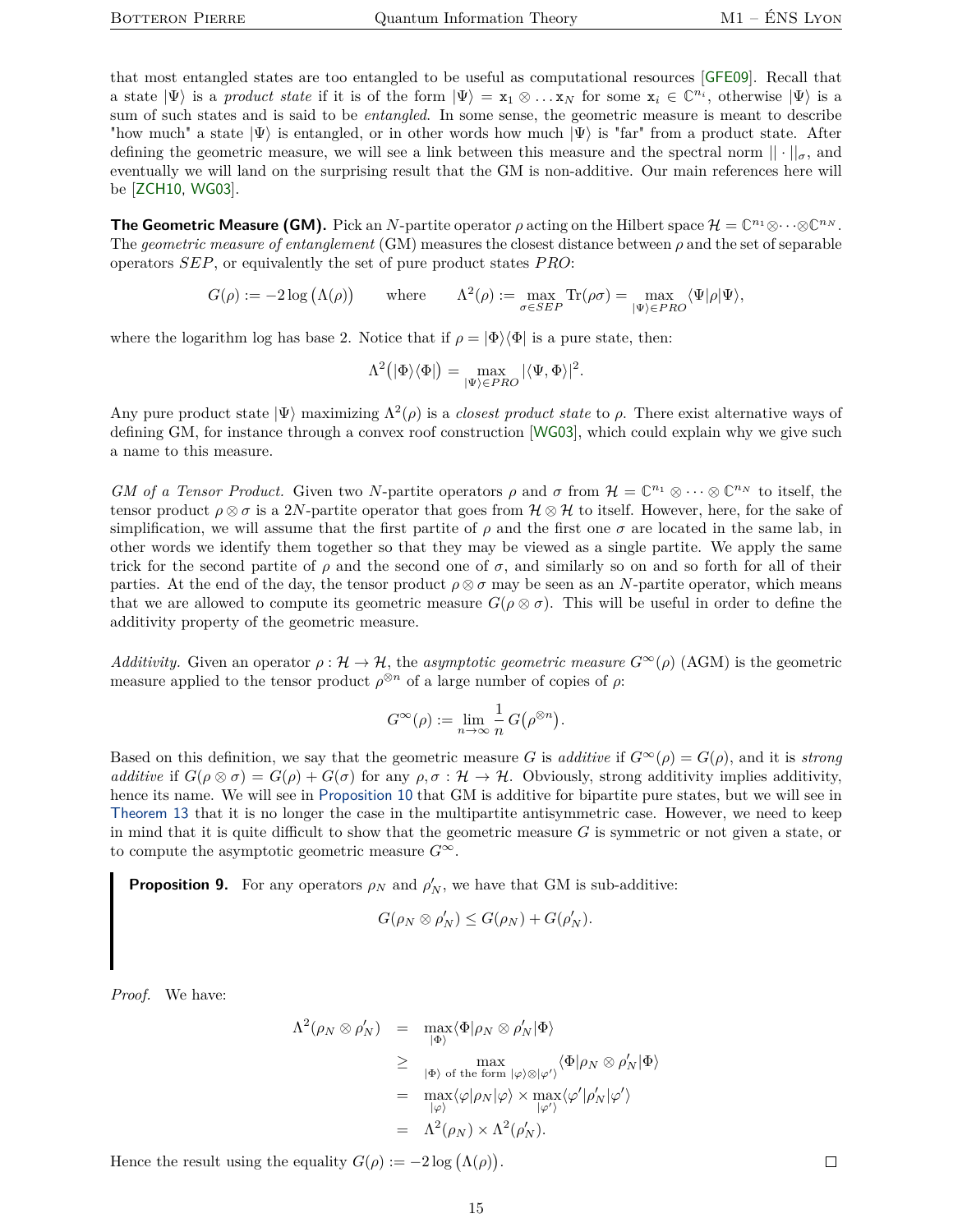that most entangled states are too entangled to be useful as computational resources [[GFE09](#page-17-14)]. Recall that a state  $|\Psi\rangle$  is a *product state* if it is of the form  $|\Psi\rangle = x_1 \otimes \ldots x_N$  for some  $x_i \in \mathbb{C}^{n_i}$ , otherwise  $|\Psi\rangle$  is a sum of such states and is said to be *entangled*. In some sense, the geometric measure is meant to describe "how much" a state  $|\Psi\rangle$  is entangled, or in other words how much  $|\Psi\rangle$  is "far" from a product state. After defining the geometric measure, we will see a link between this measure and the spectral norm  $|| \cdot ||_{\sigma}$ , and eventually we will land on the surprising result that the GM is non-additive. Our main references here will be [[ZCH10,](#page-18-10) [WG03](#page-18-11)].

**The Geometric Measure (GM).** Pick an *N*-partite operator  $\rho$  acting on the Hilbert space  $\mathcal{H} = \mathbb{C}^{n_1} \otimes \cdots \otimes \mathbb{C}^{n_N}$ . The *geometric measure of entanglement* (GM) measures the closest distance between *ρ* and the set of separable operators *SEP*, or equivalently the set of pure product states *P RO*:

$$
G(\rho) := -2 \log (\Lambda(\rho)) \quad \text{where} \quad \Lambda^2(\rho) := \max_{\sigma \in SEP} \text{Tr}(\rho \sigma) = \max_{|\Psi\rangle \in PRO} \langle \Psi | \rho | \Psi \rangle,
$$

where the logarithm log has base 2. Notice that if  $\rho = |\Phi\rangle\langle\Phi|$  is a pure state, then:

$$
\Lambda^2\big(|\Phi\rangle\langle\Phi|\big)=\max_{|\Psi\rangle\in PRO}|\langle\Psi,\Phi\rangle|^2.
$$

Any pure product state  $|\Psi\rangle$  maximizing  $\Lambda^2(\rho)$  is a *closest product state* to  $\rho$ . There exist alternative ways of defining GM, for instance through a convex roof construction [[WG03](#page-18-11)], which could explain why we give such a name to this measure.

*GM of a Tensor Product.* Given two *N*-partite operators  $\rho$  and  $\sigma$  from  $\mathcal{H} = \mathbb{C}^{n_1} \otimes \cdots \otimes \mathbb{C}^{n_N}$  to itself, the tensor product  $\rho \otimes \sigma$  is a 2*N*-partite operator that goes from  $\mathcal{H} \otimes \mathcal{H}$  to itself. However, here, for the sake of simplification, we will assume that the first partite of  $\rho$  and the first one  $\sigma$  are located in the same lab, in other words we identify them together so that they may be viewed as a single partite. We apply the same trick for the second partite of  $\rho$  and the second one of  $\sigma$ , and similarly so on and so forth for all of their parties. At the end of the day, the tensor product  $\rho \otimes \sigma$  may be seen as an *N*-partite operator, which means that we are allowed to compute its geometric measure  $G(\rho \otimes \sigma)$ . This will be useful in order to define the additivity property of the geometric measure.

*Additivity.* Given an operator  $\rho : \mathcal{H} \to \mathcal{H}$ , the *asymptotic geometric measure*  $G^{\infty}(\rho)$  (AGM) is the geometric measure applied to the tensor product  $\rho^{\otimes n}$  of a large number of copies of  $\rho$ :

$$
G^{\infty}(\rho) := \lim_{n \to \infty} \frac{1}{n} G(\rho^{\otimes n}).
$$

Based on this definition, we say that the geometric measure *G* is *additive* if  $G^{\infty}(\rho) = G(\rho)$ , and it is *strong additive* if  $G(\rho \otimes \sigma) = G(\rho) + G(\sigma)$  for any  $\rho, \sigma : \mathcal{H} \to \mathcal{H}$ . Obviously, strong additivity implies additivity, hence its name. We will see in [Proposition](#page-15-0) [10](#page-15-0) that GM is additive for bipartite pure states, but we will see in [Theorem](#page-16-0) [13](#page-16-0) that it is no longer the case in the multipartite antisymmetric case. However, we need to keep in mind that it is quite difficult to show that the geometric measure *G* is symmetric or not given a state, or to compute the asymptotic geometric measure *G*<sup>∞</sup>.

**Proposition 9.** For any operators  $\rho_N$  and  $\rho'_N$ , we have that GM is sub-additive:

$$
G(\rho_N \otimes \rho'_N) \leq G(\rho_N) + G(\rho'_N).
$$

*Proof.* We have:

$$
\Lambda^{2}(\rho_{N} \otimes \rho'_{N}) = \max_{|\Phi\rangle} \langle \Phi | \rho_{N} \otimes \rho'_{N} | \Phi \rangle
$$
  
\n
$$
\geq \max_{|\Phi\rangle \text{ of the form } |\varphi\rangle \otimes |\varphi'\rangle} \langle \Phi | \rho_{N} \otimes \rho'_{N} | \Phi \rangle
$$
  
\n
$$
= \max_{|\varphi\rangle} \langle \varphi | \rho_{N} | \varphi \rangle \times \max_{|\varphi'\rangle} \langle \varphi' | \rho'_{N} | \varphi' \rangle
$$
  
\n
$$
= \Lambda^{2}(\rho_{N}) \times \Lambda^{2}(\rho'_{N}).
$$

Hence the result using the equality  $G(\rho) := -2 \log (\Lambda(\rho)).$ 

 $\Box$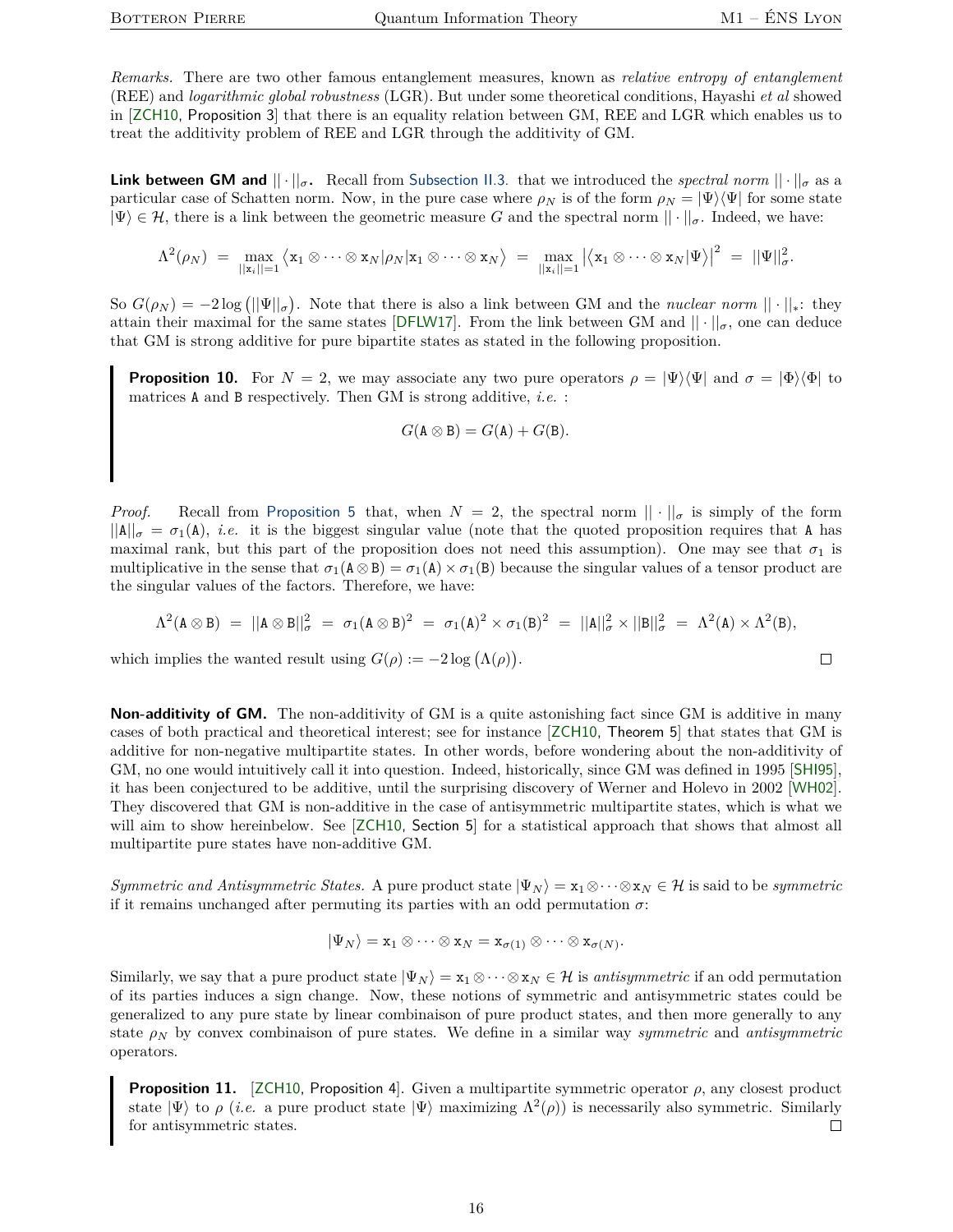$\Box$ 

*Remarks.* There are two other famous entanglement measures, known as *relative entropy of entanglement* (REE) and *logarithmic global robustness* (LGR). But under some theoretical conditions, Hayashi *et al* showed in [[ZCH10,](#page-18-10) Proposition 3] that there is an equality relation between GM, REE and LGR which enables us to treat the additivity problem of REE and LGR through the additivity of GM.

**Link between GM and**  $|| \cdot ||_{\sigma}$ . Recall from [Subsection](#page-7-0) [II.3.](#page-7-0) that we introduced the *spectral norm*  $|| \cdot ||_{\sigma}$  as a particular case of Schatten norm. Now, in the pure case where  $\rho_N$  is of the form  $\rho_N = |\Psi\rangle\langle\Psi|$  for some state  $|\Psi\rangle \in \mathcal{H}$ , there is a link between the geometric measure *G* and the spectral norm  $|| \cdot ||_{\sigma}$ . Indeed, we have:

$$
\Lambda^2(\rho_N) \;=\; \max_{||\mathbf{x}_i||=1} \big\langle \mathbf{x}_1 \otimes \cdots \otimes \mathbf{x}_N | \rho_N | \mathbf{x}_1 \otimes \cdots \otimes \mathbf{x}_N \big\rangle \;=\; \max_{||\mathbf{x}_i||=1} \big|\big\langle \mathbf{x}_1 \otimes \cdots \otimes \mathbf{x}_N | \Psi \big\rangle \big|^2 \;=\; ||\Psi||^2_\sigma.
$$

So  $G(\rho_N) = -2 \log (||\Psi||_{\sigma})$ . Note that there is also a link between GM and the *nuclear norm*  $|| \cdot ||_*$ : they attain their maximal for the same states [[DFLW17](#page-17-8)]. From the link between GM and  $|| \cdot ||_{\sigma}$ , one can deduce that GM is strong additive for pure bipartite states as stated in the following proposition.

<span id="page-15-0"></span>**Proposition 10.** For  $N = 2$ , we may associate any two pure operators  $\rho = |\Psi\rangle\langle\Psi|$  and  $\sigma = |\Phi\rangle\langle\Phi|$  to matrices A and B respectively. Then GM is strong additive, *i.e.* :

$$
G(\mathbf{A}\otimes\mathbf{B})=G(\mathbf{A})+G(\mathbf{B}).
$$

*Proof.* Recall from [Proposition](#page-8-1) [5](#page-8-1) that, when  $N = 2$ , the spectral norm  $|| \cdot ||_{\sigma}$  is simply of the form  $||A||_{\sigma} = \sigma_1(A), i.e.$  it is the biggest singular value (note that the quoted proposition requires that A has maximal rank, but this part of the proposition does not need this assumption). One may see that  $\sigma_1$  is multiplicative in the sense that  $\sigma_1(A \otimes B) = \sigma_1(A) \times \sigma_1(B)$  because the singular values of a tensor product are the singular values of the factors. Therefore, we have:

$$
\Lambda^2(A \otimes B) \;=\; ||A \otimes B||^2_{\sigma} \;=\; \sigma_1(A \otimes B)^2 \;=\; \sigma_1(A)^2 \times \sigma_1(B)^2 \;=\; ||A||^2_{\sigma} \times ||B||^2_{\sigma} \;=\; \Lambda^2(A) \times \Lambda^2(B),
$$

which implies the wanted result using  $G(\rho) := -2 \log (\Lambda(\rho)).$ 

**Non-additivity of GM.** The non-additivity of GM is a quite astonishing fact since GM is additive in many cases of both practical and theoretical interest; see for instance [[ZCH10,](#page-18-10) Theorem 5] that states that GM is additive for non-negative multipartite states. In other words, before wondering about the non-additivity of GM, no one would intuitively call it into question. Indeed, historically, since GM was defined in 1995 [[SHI95](#page-18-12)], it has been conjectured to be additive, until the surprising discovery of Werner and Holevo in 2002 [[WH02](#page-18-13)]. They discovered that GM is non-additive in the case of antisymmetric multipartite states, which is what we will aim to show hereinbelow. See [[ZCH10,](#page-18-10) Section 5] for a statistical approach that shows that almost all multipartite pure states have non-additive GM.

*Symmetric and Antisymmetric States.* A pure product state  $|\Psi_N\rangle = x_1 \otimes \cdots \otimes x_N \in \mathcal{H}$  is said to be *symmetric* if it remains unchanged after permuting its parties with an odd permutation  $\sigma$ :

$$
|\Psi_N\rangle = \mathbf{x}_1 \otimes \cdots \otimes \mathbf{x}_N = \mathbf{x}_{\sigma(1)} \otimes \cdots \otimes \mathbf{x}_{\sigma(N)}.
$$

Similarly, we say that a pure product state  $|\Psi_N\rangle = \mathbf{x}_1 \otimes \cdots \otimes \mathbf{x}_N \in \mathcal{H}$  is *antisymmetric* if an odd permutation of its parties induces a sign change. Now, these notions of symmetric and antisymmetric states could be generalized to any pure state by linear combinaison of pure product states, and then more generally to any state *ρ<sup>N</sup>* by convex combinaison of pure states. We define in a similar way *symmetric* and *antisymmetric* operators.

<span id="page-15-1"></span>**Proposition 11.** [[ZCH10,](#page-18-10) Proposition 4]. Given a multipartite symmetric operator  $\rho$ , any closest product state  $|\Psi\rangle$  to  $\rho$  (*i.e.* a pure product state  $|\Psi\rangle$  maximizing  $\Lambda^2(\rho)$ ) is necessarily also symmetric. Similarly for antisymmetric states.  $\Box$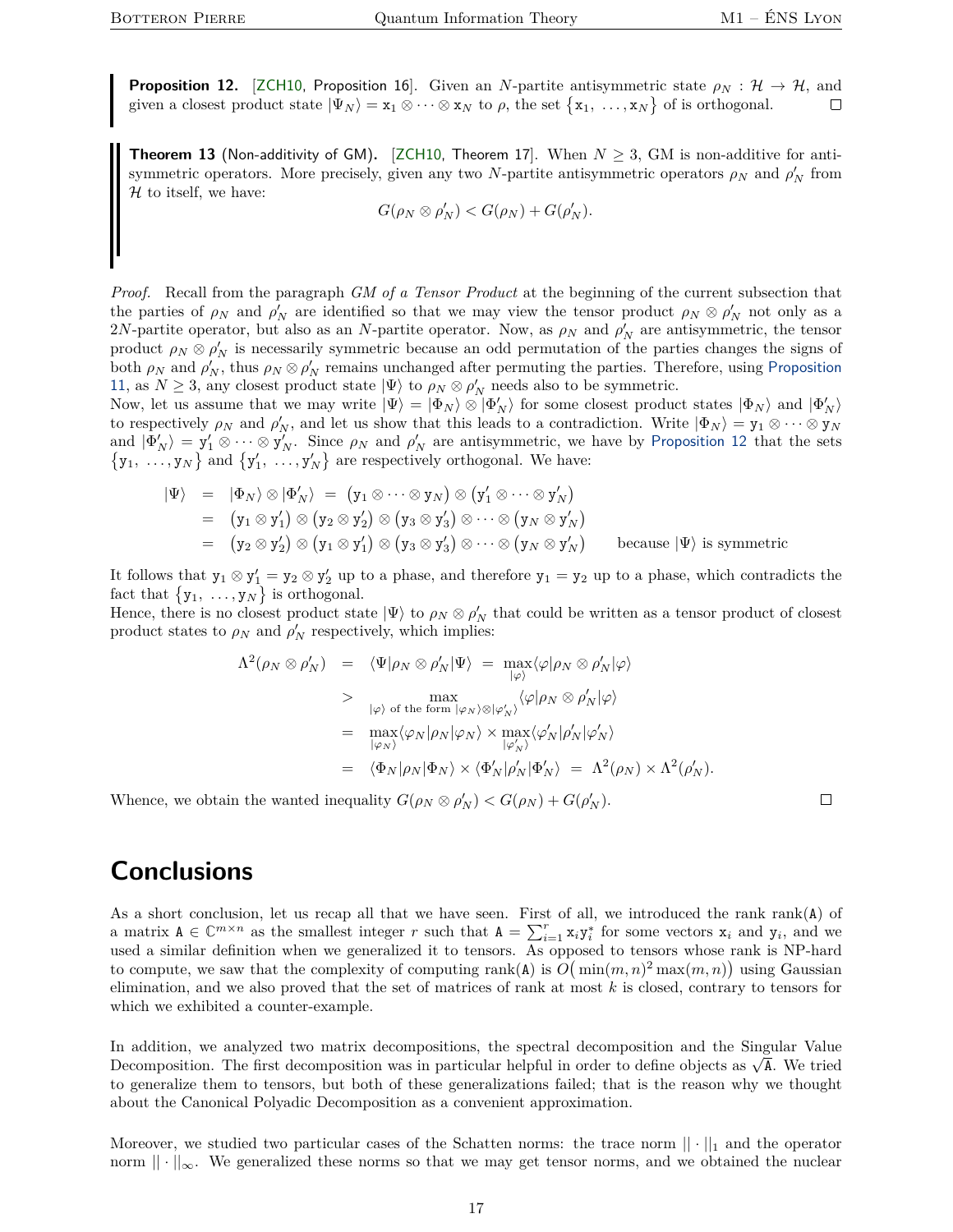<span id="page-16-1"></span>**Proposition 12.** [[ZCH10,](#page-18-10) Proposition 16]. Given an *N*-partite antisymmetric state  $\rho_N : \mathcal{H} \to \mathcal{H}$ , and given a closest product state  $|\Psi_N\rangle = \mathbf{x}_1 \otimes \cdots \otimes \mathbf{x}_N$  to  $\rho$ , the set  $\{\mathbf{x}_1, \ldots, \mathbf{x}_N\}$  of is orthogonal. □

<span id="page-16-0"></span>**Theorem 13** (Non-additivity of GM). [[ZCH10,](#page-18-10) Theorem 17]. When  $N \geq 3$ , GM is non-additive for antisymmetric operators. More precisely, given any two *N*-partite antisymmetric operators  $\rho_N$  and  $\rho'_N$  from  $H$  to itself, we have:

$$
G(\rho_N \otimes \rho'_N) < G(\rho_N) + G(\rho'_N).
$$

*Proof.* Recall from the paragraph *GM of a Tensor Product* at the beginning of the current subsection that the parties of  $\rho_N$  and  $\rho'_N$  are identified so that we may view the tensor product  $\rho_N \otimes \rho'_N$  not only as a 2*N*-partite operator, but also as an *N*-partite operator. Now, as  $\rho_N$  and  $\rho'_N$  are antisymmetric, the tensor product  $\rho_N \otimes \rho'_N$  is necessarily symmetric because an odd permutation of the parties changes the signs of both  $\rho_N$  and  $\rho'_N$ , thus  $\rho_N \otimes \rho'_N$  remains unchanged after permuting the parties. Therefore, using [Proposition](#page-15-1) [11](#page-15-1), as  $N \geq 3$ , any closest product state  $|\Psi\rangle$  to  $\rho_N \otimes \rho'_N$  needs also to be symmetric.

Now, let us assume that we may write  $|\Psi\rangle = |\Phi_N\rangle \otimes |\Phi'_N\rangle$  for some closest product states  $|\Phi_N\rangle$  and  $|\Phi'_N\rangle$ to respectively  $\rho_N$  and  $\rho'_N$ , and let us show that this leads to a contradiction. Write  $|\Phi_N\rangle = y_1 \otimes \cdots \otimes y_N$ and  $|\Phi'_{N}\rangle = y'_{1} \otimes \cdots \otimes y'_{N}$ . Since  $\rho_{N}$  and  $\rho'_{N}$  are antisymmetric, we have by [Proposition](#page-16-1) [12](#page-16-1) that the sets  $\{y_1, \ldots, y_N\}$  and  $\{y'_1, \ldots, y'_N\}$  are respectively orthogonal. We have:

$$
\begin{array}{rcl}\n\langle \Psi \rangle & = & |\Phi_N\rangle \otimes |\Phi'_N\rangle \\
& = & (y_1 \otimes \cdots \otimes y_N) \otimes (y'_1 \otimes \cdots \otimes y'_N) \\
& = & (y_1 \otimes y'_1) \otimes (y_2 \otimes y'_2) \otimes (y_3 \otimes y'_3) \otimes \cdots \otimes (y_N \otimes y'_N) \\
& = & (y_2 \otimes y'_2) \otimes (y_1 \otimes y'_1) \otimes (y_3 \otimes y'_3) \otimes \cdots \otimes (y_N \otimes y'_N)\n\end{array}\n\quad \text{because } |\Psi\rangle \text{ is symmetric}
$$

It follows that  $y_1 \otimes y_1' = y_2 \otimes y_2'$  up to a phase, and therefore  $y_1 = y_2$  up to a phase, which contradicts the fact that  $\{y_1, \ldots, y_N\}$  is orthogonal.

Hence, there is no closest product state  $|\Psi\rangle$  to  $\rho_N \otimes \rho'_N$  that could be written as a tensor product of closest product states to  $\rho_N$  and  $\rho'_N$  respectively, which implies:

$$
\Lambda^{2}(\rho_{N} \otimes \rho'_{N}) = \langle \Psi | \rho_{N} \otimes \rho'_{N} | \Psi \rangle = \max_{|\varphi\rangle} \langle \varphi | \rho_{N} \otimes \rho'_{N} | \varphi \rangle
$$
  
>\max\_{|\varphi\rangle \text{ of the form } |\varphi\_{N}\rangle \otimes |\varphi'\_{N}\rangle} \langle \varphi | \rho\_{N} \otimes \rho'\_{N} | \varphi \rangle  
=\max\_{|\varphi\_{N}\rangle} \langle \varphi\_{N} | \rho\_{N} | \varphi\_{N}\rangle \times \max\_{|\varphi'\_{N}\rangle} \langle \varphi'\_{N} | \rho'\_{N} | \varphi'\_{N}\rangle  
= \langle \Phi\_{N} | \rho\_{N} | \Phi\_{N}\rangle \times \langle \Phi'\_{N} | \rho'\_{N} | \Phi'\_{N}\rangle = \Lambda^{2}(\rho\_{N}) \times \Lambda^{2}(\rho'\_{N}).

Whence, we obtain the wanted inequality  $G(\rho_N \otimes \rho'_N) < G(\rho_N) + G(\rho'_N)$ .

 $\Box$ 

## **Conclusions**

As a short conclusion, let us recap all that we have seen. First of all, we introduced the rank rank(A) of a matrix  $A \in \mathbb{C}^{m \times n}$  as the smallest integer *r* such that  $A = \sum_{i=1}^{r} x_i y_i^*$  for some vectors  $x_i$  and  $y_i$ , and we used a similar definition when we generalized it to tensors. As opposed to tensors whose rank is NP-hard to compute, we saw that the complexity of computing  $rank(A)$  is  $O(min(m, n)^2 max(m, n))$  using Gaussian elimination, and we also proved that the set of matrices of rank at most *k* is closed, contrary to tensors for which we exhibited a counter-example.

In addition, we analyzed two matrix decompositions, the spectral decomposition and the Singular Value In addition, we analyzed two matrix decompositions, the spectral decomposition and the singular value<br>Decomposition. The first decomposition was in particular helpful in order to define objects as  $\sqrt{\lambda}$ . We tried to generalize them to tensors, but both of these generalizations failed; that is the reason why we thought about the Canonical Polyadic Decomposition as a convenient approximation.

Moreover, we studied two particular cases of the Schatten norms: the trace norm  $|| \cdot ||_1$  and the operator norm  $|| \cdot ||_{\infty}$ . We generalized these norms so that we may get tensor norms, and we obtained the nuclear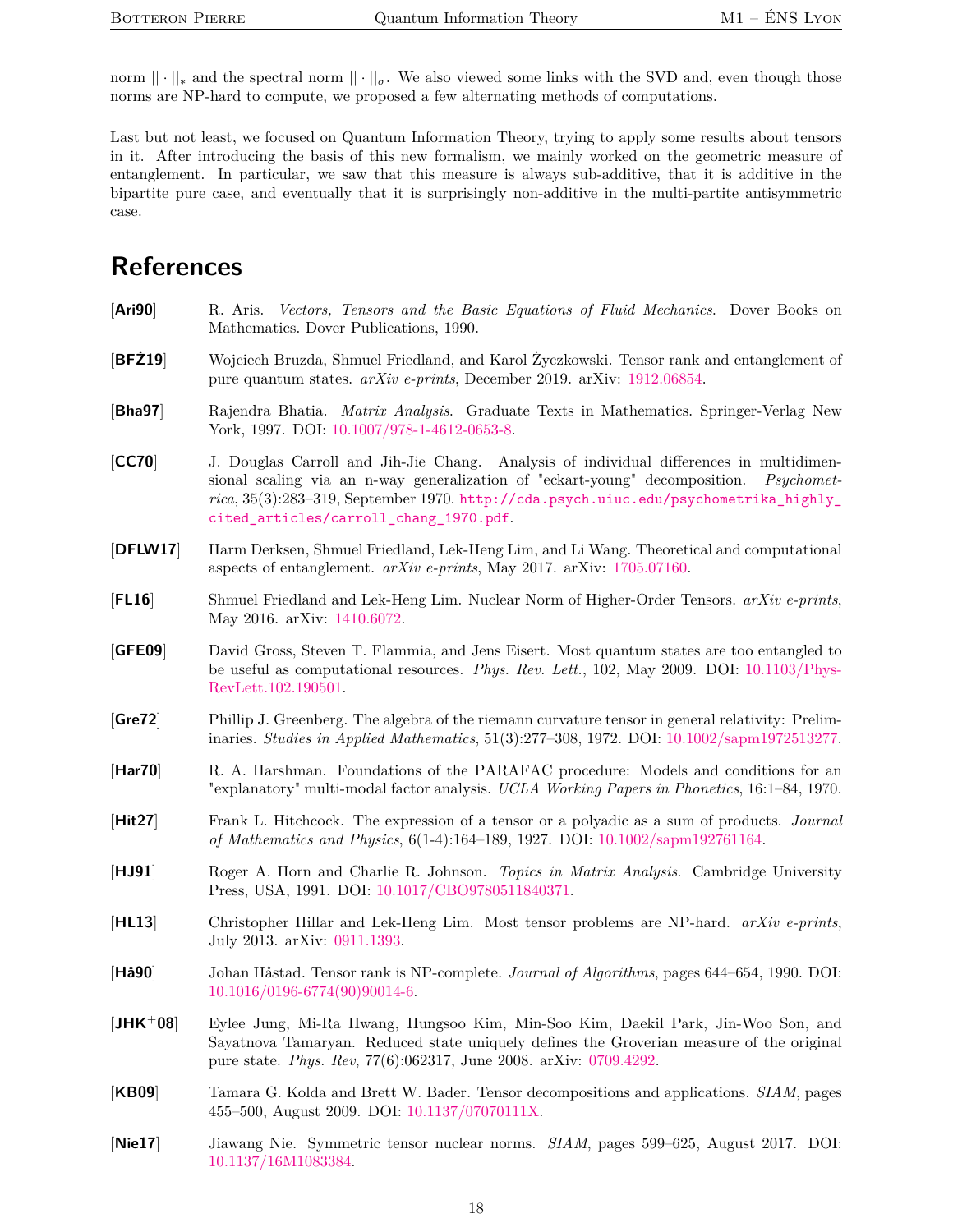norm  $\|\cdot\|_*$  and the spectral norm  $\|\cdot\|_{\sigma}$ . We also viewed some links with the SVD and, even though those norms are NP-hard to compute, we proposed a few alternating methods of computations.

Last but not least, we focused on Quantum Information Theory, trying to apply some results about tensors in it. After introducing the basis of this new formalism, we mainly worked on the geometric measure of entanglement. In particular, we saw that this measure is always sub-additive, that it is additive in the bipartite pure case, and eventually that it is surprisingly non-additive in the multi-partite antisymmetric case.

# **References**

<span id="page-17-14"></span><span id="page-17-12"></span><span id="page-17-8"></span><span id="page-17-7"></span><span id="page-17-5"></span><span id="page-17-3"></span><span id="page-17-1"></span><span id="page-17-0"></span>

| [Ari90]    | R. Aris. Vectors, Tensors and the Basic Equations of Fluid Mechanics. Dover Books on<br>Mathematics. Dover Publications, 1990.                                                                                                                                                                                                |
|------------|-------------------------------------------------------------------------------------------------------------------------------------------------------------------------------------------------------------------------------------------------------------------------------------------------------------------------------|
| BFZ19      | Wojciech Bruzda, Shmuel Friedland, and Karol Życzkowski. Tensor rank and entanglement of<br>pure quantum states. <i>arXiv e-prints</i> , December 2019. arXiv: 1912.06854.                                                                                                                                                    |
| [Bha97]    | Rajendra Bhatia. Matrix Analysis. Graduate Texts in Mathematics. Springer-Verlag New<br>York, 1997. DOI: 10.1007/978-1-4612-0653-8.                                                                                                                                                                                           |
| [CC70]     | J. Douglas Carroll and Jih-Jie Chang. Analysis of individual differences in multidimen-<br>sional scaling via an n-way generalization of "eckart-young" decomposition.<br><i>Psychomet-</i><br>rica, 35(3):283-319, September 1970. http://cda.psych.uiuc.edu/psychometrika_highly_<br>cited_articles/carroll_chang_1970.pdf. |
| [DFLW17]   | Harm Derksen, Shmuel Friedland, Lek-Heng Lim, and Li Wang. Theoretical and computational<br>aspects of entanglement. $arXiv$ e-prints, May 2017. arXiv: 1705.07160.                                                                                                                                                           |
| [FL16]     | Shmuel Friedland and Lek-Heng Lim. Nuclear Norm of Higher-Order Tensors. arXiv e-prints,<br>May 2016. arXiv: 1410.6072.                                                                                                                                                                                                       |
| [GFE09]    | David Gross, Steven T. Flammia, and Jens Eisert. Most quantum states are too entangled to<br>be useful as computational resources. Phys. Rev. Lett., 102, May 2009. DOI: 10.1103/Phys-<br>RevLett.102.190501.                                                                                                                 |
| [Gre72]    | Phillip J. Greenberg. The algebra of the riemann curvature tensor in general relativity: Prelim-<br>inaries. Studies in Applied Mathematics, $51(3):277-308$ , 1972. DOI: $10.1002/\text{sample13277}$ .                                                                                                                      |
| [Har70]    | R. A. Harshman. Foundations of the PARAFAC procedure: Models and conditions for an<br>"explanatory" multi-modal factor analysis. UCLA Working Papers in Phonetics, 16:1–84, 1970.                                                                                                                                             |
| [Hit27]    | Frank L. Hitchcock. The expression of a tensor or a polyadic as a sum of products. Journal<br>of Mathematics and Physics, 6(1-4):164-189, 1927. DOI: 10.1002/sapm192761164.                                                                                                                                                   |
| [HJ91]     | Roger A. Horn and Charlie R. Johnson. Topics in Matrix Analysis. Cambridge University<br>Press, USA, 1991. DOI: 10.1017/CBO9780511840371.                                                                                                                                                                                     |
| [HL13]     | Christopher Hillar and Lek-Heng Lim. Most tensor problems are NP-hard. arXiv e-prints,<br>July 2013. arXiv: 0911.1393.                                                                                                                                                                                                        |
| [Ha90]     | Johan Håstad. Tensor rank is NP-complete. Journal of Algorithms, pages 644–654, 1990. DOI:<br>$10.1016/0196-6774(90)90014-6.$                                                                                                                                                                                                 |
| $[JHK+08]$ | Eylee Jung, Mi-Ra Hwang, Hungsoo Kim, Min-Soo Kim, Daekil Park, Jin-Woo Son, and<br>Sayatnova Tamaryan. Reduced state uniquely defines the Groverian measure of the original<br>pure state. Phys. Rev, 77(6):062317, June 2008. arXiv: 0709.4292.                                                                             |
| [KB09]     | Tamara G. Kolda and Brett W. Bader. Tensor decompositions and applications. SIAM, pages<br>455-500, August 2009. DOI: 10.1137/07070111X.                                                                                                                                                                                      |

<span id="page-17-13"></span><span id="page-17-11"></span><span id="page-17-10"></span><span id="page-17-9"></span><span id="page-17-6"></span><span id="page-17-4"></span><span id="page-17-2"></span>[**Nie17**] Jiawang Nie. Symmetric tensor nuclear norms. *SIAM*, pages 599–625, August 2017. DOI: [10.1137/16M1083384.](https://doi.org/10.1137/16M1083384)